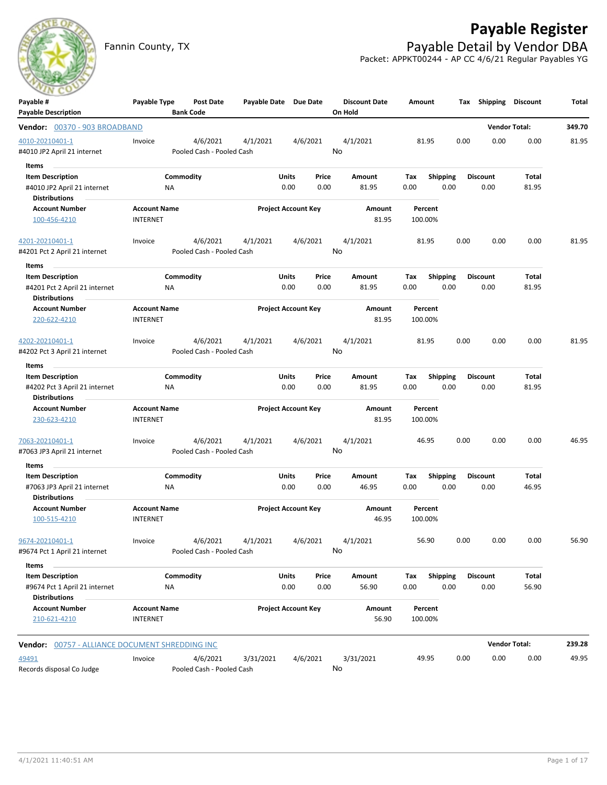

# **Payable Register**

Fannin County, TX **Payable Detail by Vendor DBA** Packet: APPKT00244 - AP CC 4/6/21 Regular Payables YG

| Payable #                                       | Payable Type                           | <b>Post Date</b>          | Payable Date Due Date |                            |       | <b>Discount Date</b> | Amount             |                 | Tax  | Shipping        | <b>Discount</b>      | Total  |
|-------------------------------------------------|----------------------------------------|---------------------------|-----------------------|----------------------------|-------|----------------------|--------------------|-----------------|------|-----------------|----------------------|--------|
| <b>Payable Description</b>                      |                                        | <b>Bank Code</b>          |                       |                            |       | On Hold              |                    |                 |      |                 |                      |        |
| <b>Vendor: 00370 - 903 BROADBAND</b>            |                                        |                           |                       |                            |       |                      |                    |                 |      |                 | <b>Vendor Total:</b> | 349.70 |
| 4010-20210401-1                                 | Invoice                                | 4/6/2021                  | 4/1/2021              | 4/6/2021                   |       | 4/1/2021             | 81.95              |                 | 0.00 | 0.00            | 0.00                 | 81.95  |
| #4010 JP2 April 21 internet                     |                                        | Pooled Cash - Pooled Cash |                       |                            |       | No                   |                    |                 |      |                 |                      |        |
| Items                                           |                                        |                           |                       |                            |       |                      |                    |                 |      |                 |                      |        |
| <b>Item Description</b>                         |                                        | Commodity                 |                       | Units                      | Price | Amount               | Tax                | <b>Shipping</b> |      | <b>Discount</b> | <b>Total</b>         |        |
| #4010 JP2 April 21 internet                     | ΝA                                     |                           |                       | 0.00                       | 0.00  | 81.95                | 0.00               | 0.00            |      | 0.00            | 81.95                |        |
| <b>Distributions</b>                            |                                        |                           |                       |                            |       |                      |                    |                 |      |                 |                      |        |
| <b>Account Number</b>                           | <b>Account Name</b>                    |                           |                       | <b>Project Account Key</b> |       | Amount               | Percent            |                 |      |                 |                      |        |
| 100-456-4210                                    | <b>INTERNET</b>                        |                           |                       |                            |       | 81.95                | 100.00%            |                 |      |                 |                      |        |
| 4201-20210401-1                                 | Invoice                                | 4/6/2021                  | 4/1/2021              | 4/6/2021                   |       | 4/1/2021             | 81.95              |                 | 0.00 | 0.00            | 0.00                 | 81.95  |
| #4201 Pct 2 April 21 internet                   |                                        | Pooled Cash - Pooled Cash |                       |                            |       | No                   |                    |                 |      |                 |                      |        |
| Items                                           |                                        |                           |                       |                            |       |                      |                    |                 |      |                 |                      |        |
| <b>Item Description</b>                         |                                        | Commodity                 |                       | Units                      | Price | Amount               | Tax                | <b>Shipping</b> |      | <b>Discount</b> | Total                |        |
| #4201 Pct 2 April 21 internet                   | NA                                     |                           |                       | 0.00                       | 0.00  | 81.95                | 0.00               | 0.00            |      | 0.00            | 81.95                |        |
| <b>Distributions</b>                            |                                        |                           |                       |                            |       |                      |                    |                 |      |                 |                      |        |
| <b>Account Number</b>                           | <b>Account Name</b>                    |                           |                       | <b>Project Account Key</b> |       | <b>Amount</b>        | Percent            |                 |      |                 |                      |        |
| 220-622-4210                                    | <b>INTERNET</b>                        |                           |                       |                            |       | 81.95                | 100.00%            |                 |      |                 |                      |        |
|                                                 |                                        |                           |                       |                            |       |                      |                    |                 |      |                 |                      |        |
| 4202-20210401-1                                 | Invoice                                | 4/6/2021                  | 4/1/2021              | 4/6/2021                   |       | 4/1/2021             | 81.95              |                 | 0.00 | 0.00            | 0.00                 | 81.95  |
| #4202 Pct 3 April 21 internet                   |                                        | Pooled Cash - Pooled Cash |                       |                            |       | No                   |                    |                 |      |                 |                      |        |
| Items                                           |                                        |                           |                       |                            |       |                      |                    |                 |      |                 |                      |        |
| <b>Item Description</b>                         |                                        | Commodity                 |                       | Units                      | Price | Amount               | Tax                | <b>Shipping</b> |      | <b>Discount</b> | Total                |        |
| #4202 Pct 3 April 21 internet                   | ΝA                                     |                           |                       | 0.00                       | 0.00  | 81.95                | 0.00               | 0.00            |      | 0.00            | 81.95                |        |
| <b>Distributions</b>                            |                                        |                           |                       |                            |       |                      |                    |                 |      |                 |                      |        |
| <b>Account Number</b><br>230-623-4210           | <b>Account Name</b><br><b>INTERNET</b> |                           |                       | <b>Project Account Key</b> |       | Amount<br>81.95      | Percent<br>100.00% |                 |      |                 |                      |        |
|                                                 |                                        |                           |                       |                            |       |                      |                    |                 |      |                 |                      |        |
| 7063-20210401-1                                 | Invoice                                | 4/6/2021                  | 4/1/2021              | 4/6/2021                   |       | 4/1/2021             | 46.95              |                 | 0.00 | 0.00            | 0.00                 | 46.95  |
| #7063 JP3 April 21 internet                     |                                        | Pooled Cash - Pooled Cash |                       |                            |       | No                   |                    |                 |      |                 |                      |        |
| Items                                           |                                        |                           |                       |                            |       |                      |                    |                 |      |                 |                      |        |
| <b>Item Description</b>                         |                                        | Commodity                 |                       | Units                      | Price | Amount               | Tax                | <b>Shipping</b> |      | <b>Discount</b> | Total                |        |
| #7063 JP3 April 21 internet                     | ΝA                                     |                           |                       | 0.00                       | 0.00  | 46.95                | 0.00               | 0.00            |      | 0.00            | 46.95                |        |
| <b>Distributions</b>                            |                                        |                           |                       |                            |       |                      |                    |                 |      |                 |                      |        |
| <b>Account Number</b>                           | <b>Account Name</b>                    |                           |                       | <b>Project Account Key</b> |       | Amount               | Percent            |                 |      |                 |                      |        |
| 100-515-4210                                    | <b>INTERNET</b>                        |                           |                       |                            |       | 46.95                | 100.00%            |                 |      |                 |                      |        |
| 9674-20210401-1                                 | Invoice                                | 4/6/2021                  | 4/1/2021              | 4/6/2021                   |       | 4/1/2021             | 56.90              |                 | 0.00 | 0.00            | 0.00                 | 56.90  |
| #9674 Pct 1 April 21 internet                   |                                        | Pooled Cash - Pooled Cash |                       |                            |       | No                   |                    |                 |      |                 |                      |        |
| Items                                           |                                        |                           |                       |                            |       |                      |                    |                 |      |                 |                      |        |
| <b>Item Description</b>                         |                                        | Commodity                 |                       | Units                      | Price | Amount               | Tax                | <b>Shipping</b> |      | <b>Discount</b> | Total                |        |
| #9674 Pct 1 April 21 internet                   | NA                                     |                           |                       | 0.00                       | 0.00  | 56.90                | 0.00               | 0.00            |      | 0.00            | 56.90                |        |
| <b>Distributions</b>                            |                                        |                           |                       |                            |       |                      |                    |                 |      |                 |                      |        |
| <b>Account Number</b>                           | <b>Account Name</b>                    |                           |                       | <b>Project Account Key</b> |       | Amount               | Percent            |                 |      |                 |                      |        |
| 210-621-4210                                    | <b>INTERNET</b>                        |                           |                       |                            |       | 56.90                | 100.00%            |                 |      |                 |                      |        |
| Vendor: 00757 - ALLIANCE DOCUMENT SHREDDING INC |                                        |                           |                       |                            |       |                      |                    |                 |      |                 | <b>Vendor Total:</b> | 239.28 |
| 49491                                           | Invoice                                | 4/6/2021                  | 3/31/2021             | 4/6/2021                   |       | 3/31/2021            | 49.95              |                 | 0.00 | 0.00            | 0.00                 | 49.95  |
| Records disposal Co Judge                       |                                        | Pooled Cash - Pooled Cash |                       |                            |       | No                   |                    |                 |      |                 |                      |        |
|                                                 |                                        |                           |                       |                            |       |                      |                    |                 |      |                 |                      |        |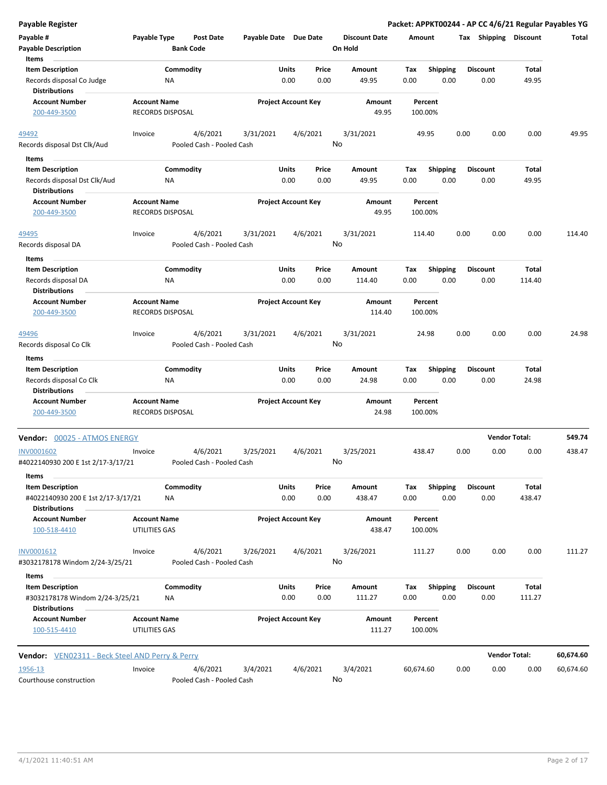| <b>Payable Register</b>                                                               |                                                |                           |                            |               |               |                      |             |                         |      |                         |                        | Packet: APPKT00244 - AP CC 4/6/21 Regular Payables YG |
|---------------------------------------------------------------------------------------|------------------------------------------------|---------------------------|----------------------------|---------------|---------------|----------------------|-------------|-------------------------|------|-------------------------|------------------------|-------------------------------------------------------|
| Payable #                                                                             | Payable Type                                   | <b>Post Date</b>          | Payable Date Due Date      |               |               | <b>Discount Date</b> |             | Amount                  |      | Tax Shipping Discount   |                        | Total                                                 |
| <b>Payable Description</b>                                                            |                                                | <b>Bank Code</b>          |                            |               |               | On Hold              |             |                         |      |                         |                        |                                                       |
| Items                                                                                 |                                                |                           |                            |               |               |                      |             |                         |      |                         |                        |                                                       |
| <b>Item Description</b>                                                               | Commodity                                      |                           |                            | Units         | Price         | Amount               | Tax         | <b>Shipping</b>         |      | <b>Discount</b>         | Total                  |                                                       |
| Records disposal Co Judge<br><b>Distributions</b>                                     | ΝA                                             |                           |                            | 0.00          | 0.00          | 49.95                | 0.00        | 0.00                    |      | 0.00                    | 49.95                  |                                                       |
| <b>Account Number</b>                                                                 | <b>Account Name</b>                            |                           | <b>Project Account Key</b> |               |               | Amount               |             | Percent                 |      |                         |                        |                                                       |
| 200-449-3500                                                                          | RECORDS DISPOSAL                               |                           |                            |               |               | 49.95                |             | 100.00%                 |      |                         |                        |                                                       |
| 49492                                                                                 | Invoice                                        | 4/6/2021                  | 3/31/2021                  |               | 4/6/2021      | 3/31/2021            |             | 49.95                   | 0.00 | 0.00                    | 0.00                   | 49.95                                                 |
| Records disposal Dst Clk/Aud                                                          |                                                | Pooled Cash - Pooled Cash |                            |               | No            |                      |             |                         |      |                         |                        |                                                       |
| Items                                                                                 |                                                |                           |                            |               |               |                      |             |                         |      |                         |                        |                                                       |
| <b>Item Description</b>                                                               | Commodity                                      |                           |                            | Units         | Price         | Amount               | Tax         | <b>Shipping</b>         |      | <b>Discount</b>         | Total                  |                                                       |
| Records disposal Dst Clk/Aud<br><b>Distributions</b>                                  | ΝA                                             |                           |                            | 0.00          | 0.00          | 49.95                | 0.00        | 0.00                    |      | 0.00                    | 49.95                  |                                                       |
| <b>Account Number</b><br>200-449-3500                                                 | <b>Account Name</b><br><b>RECORDS DISPOSAL</b> |                           | <b>Project Account Key</b> |               |               | Amount<br>49.95      |             | Percent<br>100.00%      |      |                         |                        |                                                       |
| 49495                                                                                 | Invoice                                        | 4/6/2021                  | 3/31/2021                  |               | 4/6/2021      | 3/31/2021            |             | 114.40                  | 0.00 | 0.00                    | 0.00                   | 114.40                                                |
| Records disposal DA                                                                   |                                                | Pooled Cash - Pooled Cash |                            |               | No            |                      |             |                         |      |                         |                        |                                                       |
|                                                                                       |                                                |                           |                            |               |               |                      |             |                         |      |                         |                        |                                                       |
| Items<br><b>Item Description</b>                                                      | Commodity                                      |                           |                            | Units         | Price         | Amount               | Tax         | <b>Shipping</b>         |      | <b>Discount</b>         | Total                  |                                                       |
| Records disposal DA                                                                   | <b>NA</b>                                      |                           |                            | 0.00          | 0.00          | 114.40               | 0.00        | 0.00                    |      | 0.00                    | 114.40                 |                                                       |
| <b>Distributions</b>                                                                  |                                                |                           |                            |               |               |                      |             |                         |      |                         |                        |                                                       |
| <b>Account Number</b><br>200-449-3500                                                 | <b>Account Name</b><br>RECORDS DISPOSAL        |                           | <b>Project Account Key</b> |               |               | Amount<br>114.40     |             | Percent<br>100.00%      |      |                         |                        |                                                       |
| 49496                                                                                 | Invoice                                        | 4/6/2021                  | 3/31/2021                  |               | 4/6/2021      | 3/31/2021            |             | 24.98                   | 0.00 | 0.00                    | 0.00                   | 24.98                                                 |
| Records disposal Co Clk<br>Items                                                      |                                                | Pooled Cash - Pooled Cash |                            |               | No            |                      |             |                         |      |                         |                        |                                                       |
| <b>Item Description</b>                                                               | Commodity                                      |                           |                            | Units         | Price         | Amount               | Tax         | <b>Shipping</b>         |      | <b>Discount</b>         | Total                  |                                                       |
| Records disposal Co Clk                                                               | ΝA                                             |                           |                            | 0.00          | 0.00          | 24.98                | 0.00        | 0.00                    |      | 0.00                    | 24.98                  |                                                       |
| <b>Distributions</b>                                                                  |                                                |                           |                            |               |               |                      |             |                         |      |                         |                        |                                                       |
| <b>Account Number</b><br>200-449-3500                                                 | <b>Account Name</b><br>RECORDS DISPOSAL        |                           | <b>Project Account Key</b> |               |               | Amount<br>24.98      |             | Percent<br>100.00%      |      |                         |                        |                                                       |
| Vendor: 00025 - ATMOS ENERGY                                                          |                                                |                           |                            |               |               |                      |             |                         |      | <b>Vendor Total:</b>    |                        | 549.74                                                |
| <b>INV0001602</b>                                                                     | Invoice                                        | 4/6/2021                  | 3/25/2021                  |               | 4/6/2021      | 3/25/2021            |             | 438.47                  | 0.00 | 0.00                    | 0.00                   | 438.47                                                |
| #4022140930 200 E 1st 2/17-3/17/21                                                    |                                                | Pooled Cash - Pooled Cash |                            |               | No            |                      |             |                         |      |                         |                        |                                                       |
| Items                                                                                 |                                                |                           |                            |               |               |                      |             |                         |      |                         |                        |                                                       |
| <b>Item Description</b><br>#4022140930 200 E 1st 2/17-3/17/21<br><b>Distributions</b> | Commodity<br>ΝA                                |                           |                            | Units<br>0.00 | Price<br>0.00 | Amount<br>438.47     | Tax<br>0.00 | <b>Shipping</b><br>0.00 |      | <b>Discount</b><br>0.00 | <b>Total</b><br>438.47 |                                                       |
| <b>Account Number</b>                                                                 | <b>Account Name</b>                            |                           | <b>Project Account Key</b> |               |               | Amount               |             | Percent                 |      |                         |                        |                                                       |
| 100-518-4410                                                                          | UTILITIES GAS                                  |                           |                            |               |               | 438.47               |             | 100.00%                 |      |                         |                        |                                                       |
| INV0001612                                                                            | Invoice                                        | 4/6/2021                  | 3/26/2021                  |               | 4/6/2021      | 3/26/2021            |             | 111.27                  | 0.00 | 0.00                    | 0.00                   | 111.27                                                |
| #3032178178 Windom 2/24-3/25/21<br>Items                                              |                                                | Pooled Cash - Pooled Cash |                            |               | No            |                      |             |                         |      |                         |                        |                                                       |
| <b>Item Description</b>                                                               | Commodity                                      |                           |                            | Units         | Price         | Amount               | Tax         | Shipping                |      | <b>Discount</b>         | Total                  |                                                       |
| #3032178178 Windom 2/24-3/25/21<br><b>Distributions</b>                               | ΝA                                             |                           |                            | 0.00          | 0.00          | 111.27               | 0.00        | 0.00                    |      | 0.00                    | 111.27                 |                                                       |
| <b>Account Number</b>                                                                 | <b>Account Name</b>                            |                           | <b>Project Account Key</b> |               |               | Amount               |             | Percent                 |      |                         |                        |                                                       |
| 100-515-4410                                                                          | UTILITIES GAS                                  |                           |                            |               |               | 111.27               |             | 100.00%                 |      |                         |                        |                                                       |
| <b>Vendor:</b> VEN02311 - Beck Steel AND Perry & Perry                                |                                                |                           |                            |               |               |                      |             |                         |      | <b>Vendor Total:</b>    |                        | 60,674.60                                             |
| 1956-13                                                                               | Invoice                                        | 4/6/2021                  | 3/4/2021                   |               | 4/6/2021      | 3/4/2021             | 60,674.60   |                         | 0.00 | 0.00                    | 0.00                   | 60,674.60                                             |
| Courthouse construction                                                               |                                                | Pooled Cash - Pooled Cash |                            |               | No            |                      |             |                         |      |                         |                        |                                                       |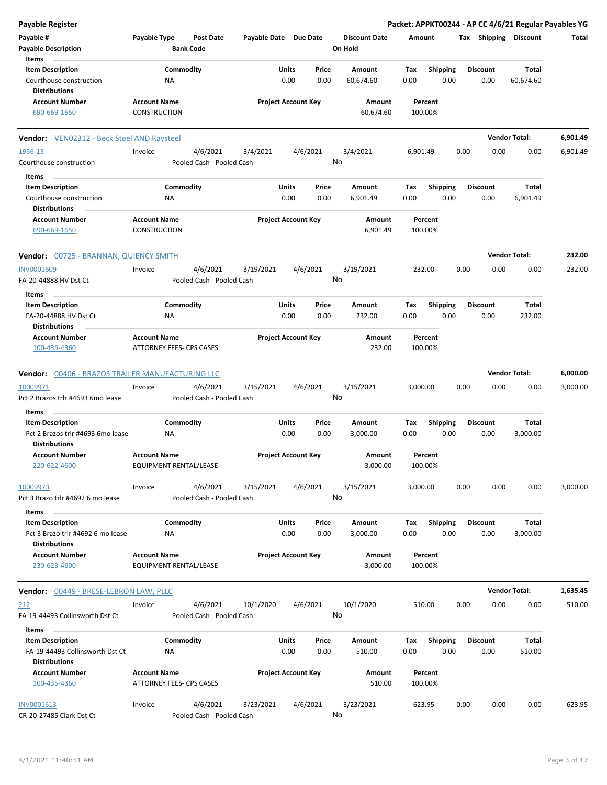| <b>Payable Register</b>                                                              |                                                      |                                       |                       |                            |               |                                 |             |                         |      |                         | Packet: APPKT00244 - AP CC 4/6/21 Regular Payables YG |          |
|--------------------------------------------------------------------------------------|------------------------------------------------------|---------------------------------------|-----------------------|----------------------------|---------------|---------------------------------|-------------|-------------------------|------|-------------------------|-------------------------------------------------------|----------|
| Payable #<br><b>Payable Description</b>                                              | Payable Type                                         | <b>Post Date</b><br><b>Bank Code</b>  | Payable Date Due Date |                            |               | <b>Discount Date</b><br>On Hold | Amount      |                         |      |                         | Tax Shipping Discount                                 | Total    |
| Items                                                                                |                                                      |                                       |                       |                            |               |                                 |             |                         |      |                         |                                                       |          |
| <b>Item Description</b><br>Courthouse construction                                   | Commodity<br>NA                                      |                                       |                       | Units<br>0.00              | Price<br>0.00 | Amount<br>60,674.60             | Tax<br>0.00 | <b>Shipping</b><br>0.00 |      | Discount<br>0.00        | Total<br>60,674.60                                    |          |
| <b>Distributions</b><br><b>Account Number</b>                                        |                                                      |                                       |                       |                            |               | Amount                          |             |                         |      |                         |                                                       |          |
| 690-669-1650                                                                         | <b>Account Name</b><br>CONSTRUCTION                  |                                       |                       | <b>Project Account Key</b> |               | 60,674.60                       |             | Percent<br>100.00%      |      |                         |                                                       |          |
| <b>Vendor:</b> VEN02312 - Beck Steel AND Raysteel                                    |                                                      |                                       |                       |                            |               |                                 |             |                         |      |                         | <b>Vendor Total:</b>                                  | 6,901.49 |
| 1956-13<br>Courthouse construction                                                   | Invoice                                              | 4/6/2021<br>Pooled Cash - Pooled Cash | 3/4/2021              | 4/6/2021                   |               | 3/4/2021<br>No                  | 6,901.49    |                         | 0.00 | 0.00                    | 0.00                                                  | 6,901.49 |
| Items                                                                                |                                                      |                                       |                       |                            |               |                                 |             |                         |      |                         |                                                       |          |
| <b>Item Description</b><br>Courthouse construction<br><b>Distributions</b>           | Commodity<br>ΝA                                      |                                       |                       | Units<br>0.00              | Price<br>0.00 | Amount<br>6,901.49              | Tax<br>0.00 | <b>Shipping</b><br>0.00 |      | <b>Discount</b><br>0.00 | Total<br>6,901.49                                     |          |
| <b>Account Number</b><br>690-669-1650                                                | <b>Account Name</b><br><b>CONSTRUCTION</b>           |                                       |                       | <b>Project Account Key</b> |               | Amount<br>6,901.49              |             | Percent<br>100.00%      |      |                         |                                                       |          |
| <b>Vendor: 00725 - BRANNAN, QUIENCY SMITH</b>                                        |                                                      |                                       |                       |                            |               |                                 |             |                         |      |                         | <b>Vendor Total:</b>                                  | 232.00   |
| INV0001609<br>FA-20-44888 HV Dst Ct                                                  | Invoice                                              | 4/6/2021<br>Pooled Cash - Pooled Cash | 3/19/2021             | 4/6/2021                   |               | 3/19/2021<br>No                 |             | 232.00                  | 0.00 | 0.00                    | 0.00                                                  | 232.00   |
| Items                                                                                |                                                      |                                       |                       |                            |               |                                 |             |                         |      |                         |                                                       |          |
| <b>Item Description</b><br>FA-20-44888 HV Dst Ct                                     | Commodity<br>ΝA                                      |                                       |                       | Units<br>0.00              | Price<br>0.00 | Amount<br>232.00                | Tax<br>0.00 | <b>Shipping</b><br>0.00 |      | <b>Discount</b><br>0.00 | Total<br>232.00                                       |          |
| <b>Distributions</b><br><b>Account Number</b>                                        | <b>Account Name</b>                                  |                                       |                       | <b>Project Account Key</b> |               | Amount                          |             | Percent                 |      |                         |                                                       |          |
| 100-435-4360                                                                         | ATTORNEY FEES- CPS CASES                             |                                       |                       |                            |               | 232.00                          |             | 100.00%                 |      |                         |                                                       |          |
| Vendor: 00406 - BRAZOS TRAILER MANUFACTURING LLC                                     |                                                      |                                       |                       |                            |               |                                 |             |                         |      |                         | <b>Vendor Total:</b>                                  | 6,000.00 |
| 10009971<br>Pct 2 Brazos trlr #4693 6mo lease                                        | Invoice                                              | 4/6/2021<br>Pooled Cash - Pooled Cash | 3/15/2021             | 4/6/2021                   |               | 3/15/2021<br>No                 | 3,000.00    |                         | 0.00 | 0.00                    | 0.00                                                  | 3,000.00 |
| Items                                                                                |                                                      |                                       |                       |                            |               |                                 |             |                         |      |                         |                                                       |          |
| <b>Item Description</b><br>Pct 2 Brazos trlr #4693 6mo lease<br><b>Distributions</b> | Commodity<br>ΝA                                      |                                       |                       | Units<br>0.00              | Price<br>0.00 | Amount<br>3,000.00              | Tax<br>0.00 | <b>Shipping</b><br>0.00 |      | Discount<br>0.00        | Total<br>3,000.00                                     |          |
| <b>Account Number</b><br>220-622-4600                                                | <b>Account Name</b><br>EQUIPMENT RENTAL/LEASE        |                                       |                       | <b>Project Account Key</b> |               | Amount<br>3,000.00              |             | Percent<br>100.00%      |      |                         |                                                       |          |
| 10009973<br>Pct 3 Brazo trlr #4692 6 mo lease                                        | Invoice                                              | 4/6/2021<br>Pooled Cash - Pooled Cash | 3/15/2021             | 4/6/2021                   |               | 3/15/2021<br>No                 | 3,000.00    |                         | 0.00 | 0.00                    | 0.00                                                  | 3,000.00 |
| Items                                                                                |                                                      |                                       |                       |                            |               |                                 |             |                         |      |                         |                                                       |          |
| <b>Item Description</b><br>Pct 3 Brazo trlr #4692 6 mo lease<br><b>Distributions</b> | Commodity<br>NA                                      |                                       |                       | Units<br>0.00              | Price<br>0.00 | Amount<br>3,000.00              | Tax<br>0.00 | <b>Shipping</b><br>0.00 |      | <b>Discount</b><br>0.00 | Total<br>3,000.00                                     |          |
| <b>Account Number</b><br>230-623-4600                                                | <b>Account Name</b><br><b>EQUIPMENT RENTAL/LEASE</b> |                                       |                       | <b>Project Account Key</b> |               | Amount<br>3,000.00              |             | Percent<br>100.00%      |      |                         |                                                       |          |
| <b>Vendor: 00449 - BRESE-LEBRON LAW, PLLC</b>                                        |                                                      |                                       |                       |                            |               |                                 |             |                         |      |                         | <b>Vendor Total:</b>                                  | 1,635.45 |
| 212<br>FA-19-44493 Collinsworth Dst Ct                                               | Invoice                                              | 4/6/2021<br>Pooled Cash - Pooled Cash | 10/1/2020             | 4/6/2021                   |               | 10/1/2020<br>No                 |             | 510.00                  | 0.00 | 0.00                    | 0.00                                                  | 510.00   |
| Items                                                                                |                                                      |                                       |                       |                            |               |                                 |             |                         |      |                         |                                                       |          |
| <b>Item Description</b><br>FA-19-44493 Collinsworth Dst Ct<br><b>Distributions</b>   | Commodity<br>NA                                      |                                       |                       | Units<br>0.00              | Price<br>0.00 | Amount<br>510.00                | Tax<br>0.00 | <b>Shipping</b><br>0.00 |      | <b>Discount</b><br>0.00 | Total<br>510.00                                       |          |
| <b>Account Number</b><br>100-435-4360                                                | <b>Account Name</b><br>ATTORNEY FEES- CPS CASES      |                                       |                       | <b>Project Account Key</b> |               | Amount<br>510.00                |             | Percent<br>100.00%      |      |                         |                                                       |          |
| INV0001613<br>CR-20-27485 Clark Dst Ct                                               | Invoice                                              | 4/6/2021<br>Pooled Cash - Pooled Cash | 3/23/2021             | 4/6/2021                   |               | 3/23/2021<br>No                 |             | 623.95                  | 0.00 | 0.00                    | 0.00                                                  | 623.95   |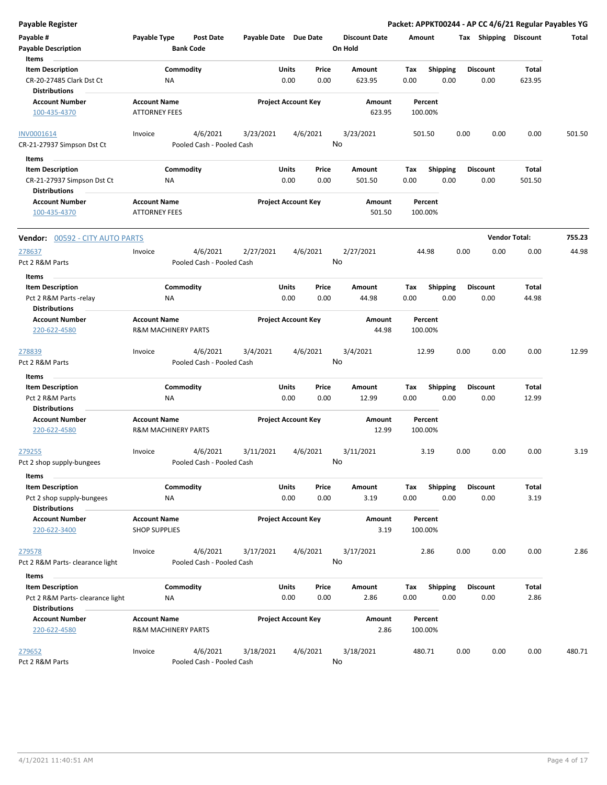| Payable Register                                                                     |                                                       |                                       |                       |                            |               |                                 |                    |                         |      |                         | Packet: APPKT00244 - AP CC 4/6/21 Regular Payables YG |        |
|--------------------------------------------------------------------------------------|-------------------------------------------------------|---------------------------------------|-----------------------|----------------------------|---------------|---------------------------------|--------------------|-------------------------|------|-------------------------|-------------------------------------------------------|--------|
| Payable #<br><b>Payable Description</b>                                              | Payable Type                                          | Post Date<br><b>Bank Code</b>         | Payable Date Due Date |                            |               | <b>Discount Date</b><br>On Hold | Amount             |                         |      | Tax Shipping Discount   |                                                       | Total  |
| Items<br><b>Item Description</b><br>CR-20-27485 Clark Dst Ct<br><b>Distributions</b> | ΝA                                                    | Commodity                             |                       | Units<br>0.00              | Price<br>0.00 | Amount<br>623.95                | Tax<br>0.00        | <b>Shipping</b><br>0.00 |      | <b>Discount</b><br>0.00 | Total<br>623.95                                       |        |
| <b>Account Number</b><br>100-435-4370                                                | <b>Account Name</b><br><b>ATTORNEY FEES</b>           |                                       |                       | <b>Project Account Key</b> |               | Amount<br>623.95                | Percent<br>100.00% |                         |      |                         |                                                       |        |
| INV0001614<br>CR-21-27937 Simpson Dst Ct                                             | Invoice                                               | 4/6/2021<br>Pooled Cash - Pooled Cash | 3/23/2021             | 4/6/2021                   | No            | 3/23/2021                       | 501.50             |                         | 0.00 | 0.00                    | 0.00                                                  | 501.50 |
| Items                                                                                |                                                       |                                       |                       | Units                      | Price         | Amount                          |                    |                         |      | <b>Discount</b>         | Total                                                 |        |
| <b>Item Description</b><br>CR-21-27937 Simpson Dst Ct<br><b>Distributions</b>        | ΝA                                                    | Commodity                             |                       | 0.00                       | 0.00          | 501.50                          | Tax<br>0.00        | <b>Shipping</b><br>0.00 |      | 0.00                    | 501.50                                                |        |
| <b>Account Number</b><br>100-435-4370                                                | <b>Account Name</b><br><b>ATTORNEY FEES</b>           |                                       |                       | <b>Project Account Key</b> |               | Amount<br>501.50                | Percent<br>100.00% |                         |      |                         |                                                       |        |
| <b>Vendor: 00592 - CITY AUTO PARTS</b>                                               |                                                       |                                       |                       |                            |               |                                 |                    |                         |      |                         | <b>Vendor Total:</b>                                  | 755.23 |
| 278637<br>Pct 2 R&M Parts                                                            | Invoice                                               | 4/6/2021<br>Pooled Cash - Pooled Cash | 2/27/2021             | 4/6/2021                   | No            | 2/27/2021                       | 44.98              |                         | 0.00 | 0.00                    | 0.00                                                  | 44.98  |
| Items<br><b>Item Description</b><br>Pct 2 R&M Parts -relay<br><b>Distributions</b>   | ΝA                                                    | Commodity                             |                       | Units<br>0.00              | Price<br>0.00 | Amount<br>44.98                 | Tax<br>0.00        | <b>Shipping</b><br>0.00 |      | <b>Discount</b><br>0.00 | Total<br>44.98                                        |        |
| <b>Account Number</b><br>220-622-4580                                                | <b>Account Name</b><br><b>R&amp;M MACHINERY PARTS</b> |                                       |                       | <b>Project Account Key</b> |               | Amount<br>44.98                 | Percent<br>100.00% |                         |      |                         |                                                       |        |
| <u>278839</u><br>Pct 2 R&M Parts                                                     | Invoice                                               | 4/6/2021<br>Pooled Cash - Pooled Cash | 3/4/2021              | 4/6/2021                   | No            | 3/4/2021                        | 12.99              |                         | 0.00 | 0.00                    | 0.00                                                  | 12.99  |
| Items                                                                                |                                                       |                                       |                       |                            |               |                                 |                    |                         |      |                         |                                                       |        |
| <b>Item Description</b><br>Pct 2 R&M Parts<br><b>Distributions</b>                   | ΝA                                                    | Commodity                             |                       | Units<br>0.00              | Price<br>0.00 | Amount<br>12.99                 | Tax<br>0.00        | <b>Shipping</b><br>0.00 |      | <b>Discount</b><br>0.00 | Total<br>12.99                                        |        |
| <b>Account Number</b><br>220-622-4580                                                | <b>Account Name</b><br><b>R&amp;M MACHINERY PARTS</b> |                                       |                       | <b>Project Account Key</b> |               | Amount<br>12.99                 | Percent<br>100.00% |                         |      |                         |                                                       |        |
| 279255<br>Pct 2 shop supply-bungees                                                  | Invoice                                               | 4/6/2021<br>Pooled Cash - Pooled Cash | 3/11/2021             | 4/6/2021                   | No            | 3/11/2021                       |                    | 3.19                    | 0.00 | 0.00                    | 0.00                                                  | 3.19   |
| Items<br><b>Item Description</b><br>Pct 2 shop supply-bungees                        | <b>NA</b>                                             | Commodity                             |                       | Units<br>0.00              | Price<br>0.00 | Amount<br>3.19                  | Tax<br>0.00        | <b>Shipping</b><br>0.00 |      | <b>Discount</b><br>0.00 | Total<br>3.19                                         |        |
| <b>Distributions</b><br><b>Account Number</b><br>220-622-3400                        | <b>Account Name</b><br><b>SHOP SUPPLIES</b>           |                                       |                       | <b>Project Account Key</b> |               | Amount<br>3.19                  | Percent<br>100.00% |                         |      |                         |                                                       |        |
| 279578<br>Pct 2 R&M Parts-clearance light                                            | Invoice                                               | 4/6/2021<br>Pooled Cash - Pooled Cash | 3/17/2021             | 4/6/2021                   | No            | 3/17/2021                       |                    | 2.86                    | 0.00 | 0.00                    | 0.00                                                  | 2.86   |
| Items                                                                                |                                                       |                                       |                       |                            |               |                                 |                    |                         |      |                         |                                                       |        |
| <b>Item Description</b><br>Pct 2 R&M Parts-clearance light<br><b>Distributions</b>   | NA                                                    | Commodity                             |                       | Units<br>0.00              | Price<br>0.00 | Amount<br>2.86                  | Tax<br>0.00        | <b>Shipping</b><br>0.00 |      | <b>Discount</b><br>0.00 | Total<br>2.86                                         |        |
| <b>Account Number</b><br>220-622-4580                                                | <b>Account Name</b><br><b>R&amp;M MACHINERY PARTS</b> |                                       |                       | <b>Project Account Key</b> |               | Amount<br>2.86                  | Percent<br>100.00% |                         |      |                         |                                                       |        |
| 279652<br>Pct 2 R&M Parts                                                            | Invoice                                               | 4/6/2021<br>Pooled Cash - Pooled Cash | 3/18/2021             | 4/6/2021                   |               | 3/18/2021<br>No                 | 480.71             |                         | 0.00 | 0.00                    | 0.00                                                  | 480.71 |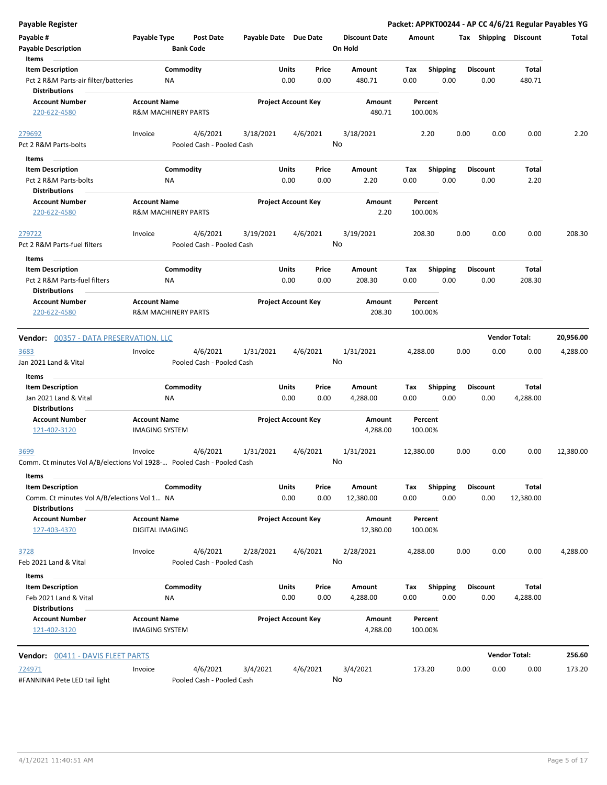| <b>Payable Register</b>                                                |                                                       |                                      |                       |                            |       |                                 |           |                 |      |                 |                       | Packet: APPKT00244 - AP CC 4/6/21 Regular Payables YG |
|------------------------------------------------------------------------|-------------------------------------------------------|--------------------------------------|-----------------------|----------------------------|-------|---------------------------------|-----------|-----------------|------|-----------------|-----------------------|-------------------------------------------------------|
| Payable #<br><b>Payable Description</b>                                | Payable Type                                          | <b>Post Date</b><br><b>Bank Code</b> | Payable Date Due Date |                            |       | <b>Discount Date</b><br>On Hold | Amount    |                 |      |                 | Tax Shipping Discount | Total                                                 |
| Items<br><b>Item Description</b>                                       |                                                       | Commodity                            |                       | Units                      | Price | Amount                          | Tax       | Shipping        |      | <b>Discount</b> | Total                 |                                                       |
| Pct 2 R&M Parts-air filter/batteries<br><b>Distributions</b>           | NA                                                    |                                      |                       | 0.00                       | 0.00  | 480.71                          | 0.00      | 0.00            |      | 0.00            | 480.71                |                                                       |
| <b>Account Number</b><br>220-622-4580                                  | <b>Account Name</b><br><b>R&amp;M MACHINERY PARTS</b> |                                      |                       | <b>Project Account Key</b> |       | Amount<br>480.71                | 100.00%   | Percent         |      |                 |                       |                                                       |
|                                                                        |                                                       |                                      |                       |                            |       |                                 |           |                 |      |                 |                       |                                                       |
| 279692                                                                 | Invoice                                               | 4/6/2021                             | 3/18/2021             | 4/6/2021                   |       | 3/18/2021                       |           | 2.20            | 0.00 | 0.00            | 0.00                  | 2.20                                                  |
| Pct 2 R&M Parts-bolts                                                  |                                                       | Pooled Cash - Pooled Cash            |                       |                            |       | No                              |           |                 |      |                 |                       |                                                       |
| Items                                                                  |                                                       |                                      |                       |                            |       |                                 |           |                 |      |                 |                       |                                                       |
| <b>Item Description</b>                                                |                                                       | Commodity                            |                       | Units                      | Price | Amount                          | Tax       | <b>Shipping</b> |      | <b>Discount</b> | Total                 |                                                       |
| Pct 2 R&M Parts-bolts                                                  | ΝA                                                    |                                      |                       | 0.00                       | 0.00  | 2.20                            | 0.00      | 0.00            |      | 0.00            | 2.20                  |                                                       |
| <b>Distributions</b>                                                   |                                                       |                                      |                       |                            |       |                                 |           |                 |      |                 |                       |                                                       |
| <b>Account Number</b><br>220-622-4580                                  | <b>Account Name</b><br>R&M MACHINERY PARTS            |                                      |                       | <b>Project Account Key</b> |       | Amount<br>2.20                  | 100.00%   | Percent         |      |                 |                       |                                                       |
| 279722                                                                 | Invoice                                               | 4/6/2021                             | 3/19/2021             | 4/6/2021                   |       | 3/19/2021                       | 208.30    |                 | 0.00 | 0.00            | 0.00                  | 208.30                                                |
| Pct 2 R&M Parts-fuel filters                                           |                                                       | Pooled Cash - Pooled Cash            |                       |                            |       | No                              |           |                 |      |                 |                       |                                                       |
| Items                                                                  |                                                       |                                      |                       |                            |       |                                 |           |                 |      |                 |                       |                                                       |
| <b>Item Description</b>                                                |                                                       | Commodity                            |                       | Units                      | Price | Amount                          | Tax       | <b>Shipping</b> |      | <b>Discount</b> | Total                 |                                                       |
| Pct 2 R&M Parts-fuel filters<br>Distributions                          | ΝA                                                    |                                      |                       | 0.00                       | 0.00  | 208.30                          | 0.00      | 0.00            |      | 0.00            | 208.30                |                                                       |
| <b>Account Number</b>                                                  | <b>Account Name</b>                                   |                                      |                       | <b>Project Account Key</b> |       | Amount                          |           | Percent         |      |                 |                       |                                                       |
| 220-622-4580                                                           | <b>R&amp;M MACHINERY PARTS</b>                        |                                      |                       |                            |       | 208.30                          | 100.00%   |                 |      |                 |                       |                                                       |
|                                                                        |                                                       |                                      |                       |                            |       |                                 |           |                 |      |                 |                       |                                                       |
| <b>Vendor: 00357 - DATA PRESERVATION, LLC</b>                          |                                                       |                                      |                       |                            |       |                                 |           |                 |      |                 | <b>Vendor Total:</b>  | 20,956.00                                             |
| 3683                                                                   | Invoice                                               | 4/6/2021                             | 1/31/2021             | 4/6/2021                   |       | 1/31/2021                       | 4,288.00  |                 | 0.00 | 0.00            | 0.00                  | 4,288.00                                              |
| Jan 2021 Land & Vital                                                  |                                                       | Pooled Cash - Pooled Cash            |                       |                            |       | No                              |           |                 |      |                 |                       |                                                       |
| Items                                                                  |                                                       |                                      |                       |                            |       |                                 |           |                 |      |                 |                       |                                                       |
| <b>Item Description</b>                                                |                                                       | Commodity                            |                       | Units                      | Price | Amount                          | Tax       | <b>Shipping</b> |      | <b>Discount</b> | Total                 |                                                       |
| Jan 2021 Land & Vital<br><b>Distributions</b>                          | NA                                                    |                                      |                       | 0.00                       | 0.00  | 4,288.00                        | 0.00      | 0.00            |      | 0.00            | 4,288.00              |                                                       |
| <b>Account Number</b>                                                  | <b>Account Name</b>                                   |                                      |                       | <b>Project Account Key</b> |       | Amount                          |           | Percent         |      |                 |                       |                                                       |
| 121-402-3120                                                           | <b>IMAGING SYSTEM</b>                                 |                                      |                       |                            |       | 4,288.00                        | 100.00%   |                 |      |                 |                       |                                                       |
| 3699                                                                   | Invoice                                               | 4/6/2021                             | 1/31/2021             | 4/6/2021                   |       | 1/31/2021                       | 12,380.00 |                 | 0.00 | 0.00            | 0.00                  | 12,380.00                                             |
| Comm. Ct minutes Vol A/B/elections Vol 1928- Pooled Cash - Pooled Cash |                                                       |                                      |                       |                            |       | No.                             |           |                 |      |                 |                       |                                                       |
| Items                                                                  |                                                       |                                      |                       |                            |       |                                 |           |                 |      |                 |                       |                                                       |
| <b>Item Description</b>                                                |                                                       | Commodity                            |                       | <b>Units</b>               | Price | Amount                          | Tax       | <b>Shipping</b> |      | <b>Discount</b> | Total                 |                                                       |
| Comm. Ct minutes Vol A/B/elections Vol 1 NA<br><b>Distributions</b>    |                                                       |                                      |                       | 0.00                       | 0.00  | 12,380.00                       | 0.00      | 0.00            |      | 0.00            | 12,380.00             |                                                       |
| <b>Account Number</b>                                                  | <b>Account Name</b>                                   |                                      |                       | <b>Project Account Key</b> |       | Amount                          |           | Percent         |      |                 |                       |                                                       |
| 127-403-4370                                                           | DIGITAL IMAGING                                       |                                      |                       |                            |       | 12,380.00                       | 100.00%   |                 |      |                 |                       |                                                       |
| 3728                                                                   | Invoice                                               | 4/6/2021                             | 2/28/2021             | 4/6/2021                   |       | 2/28/2021                       | 4,288.00  |                 | 0.00 | 0.00            | 0.00                  | 4,288.00                                              |
| Feb 2021 Land & Vital                                                  |                                                       | Pooled Cash - Pooled Cash            |                       |                            |       | No                              |           |                 |      |                 |                       |                                                       |
| Items                                                                  |                                                       |                                      |                       |                            |       |                                 |           |                 |      |                 |                       |                                                       |
| <b>Item Description</b>                                                |                                                       | Commodity                            |                       | Units                      | Price | Amount                          | Tax       | Shipping        |      | <b>Discount</b> | Total                 |                                                       |
| Feb 2021 Land & Vital                                                  | NA                                                    |                                      |                       | 0.00                       | 0.00  | 4,288.00                        | 0.00      | 0.00            |      | 0.00            | 4,288.00              |                                                       |
| <b>Distributions</b>                                                   |                                                       |                                      |                       |                            |       |                                 |           |                 |      |                 |                       |                                                       |
| <b>Account Number</b>                                                  | <b>Account Name</b>                                   |                                      |                       | <b>Project Account Key</b> |       | Amount                          |           | Percent         |      |                 |                       |                                                       |
| 121-402-3120                                                           | <b>IMAGING SYSTEM</b>                                 |                                      |                       |                            |       | 4,288.00                        | 100.00%   |                 |      |                 |                       |                                                       |
| <b>Vendor: 00411 - DAVIS FLEET PARTS</b>                               |                                                       |                                      |                       |                            |       |                                 |           |                 |      |                 | <b>Vendor Total:</b>  | 256.60                                                |
|                                                                        |                                                       | 4/6/2021                             | 3/4/2021              | 4/6/2021                   |       | 3/4/2021                        |           |                 |      |                 |                       |                                                       |
| 724971<br>#FANNIN#4 Pete LED tail light                                | Invoice                                               | Pooled Cash - Pooled Cash            |                       |                            |       | No                              | 173.20    |                 | 0.00 | 0.00            | 0.00                  | 173.20                                                |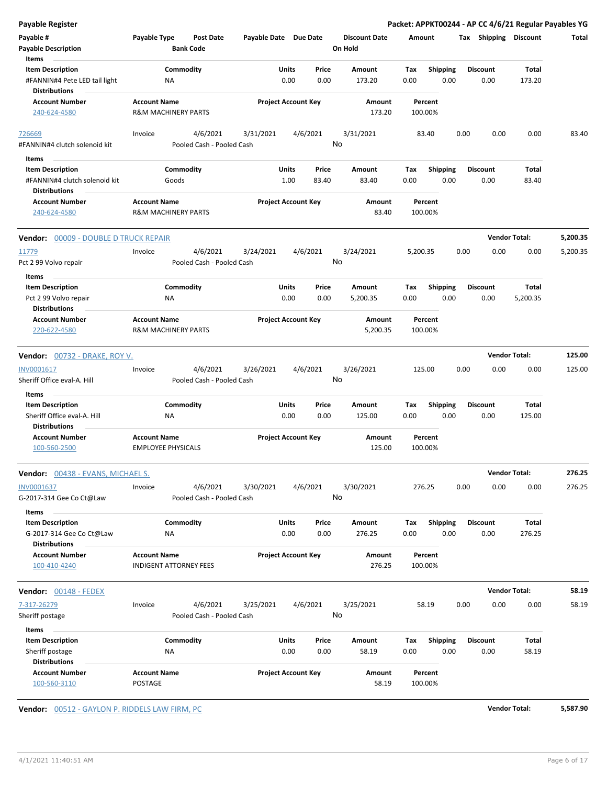| <b>Payable Register</b>                                                          |                                |                                       |                       |                            |                      |             |                         |                         | Packet: APPKT00244 - AP CC 4/6/21 Regular Payables YG |          |
|----------------------------------------------------------------------------------|--------------------------------|---------------------------------------|-----------------------|----------------------------|----------------------|-------------|-------------------------|-------------------------|-------------------------------------------------------|----------|
| Payable #                                                                        | Payable Type                   | <b>Post Date</b>                      | Payable Date Due Date |                            | <b>Discount Date</b> | Amount      |                         | Tax Shipping Discount   |                                                       | Total    |
| <b>Payable Description</b>                                                       | <b>Bank Code</b>               |                                       |                       |                            | On Hold              |             |                         |                         |                                                       |          |
| Items                                                                            |                                |                                       |                       |                            |                      |             |                         |                         |                                                       |          |
| <b>Item Description</b>                                                          | Commodity                      |                                       | Units                 | Price                      | Amount               | Tax         | <b>Shipping</b>         | <b>Discount</b>         | Total                                                 |          |
| #FANNIN#4 Pete LED tail light<br><b>Distributions</b>                            | ΝA                             |                                       |                       | 0.00<br>0.00               | 173.20               | 0.00        | 0.00                    | 0.00                    | 173.20                                                |          |
| <b>Account Number</b>                                                            | <b>Account Name</b>            |                                       |                       | <b>Project Account Key</b> | Amount               |             | Percent                 |                         |                                                       |          |
| 240-624-4580                                                                     | <b>R&amp;M MACHINERY PARTS</b> |                                       |                       |                            | 173.20               | 100.00%     |                         |                         |                                                       |          |
| 726669<br>#FANNIN#4 clutch solenoid kit                                          | Invoice                        | 4/6/2021<br>Pooled Cash - Pooled Cash | 3/31/2021             | 4/6/2021                   | 3/31/2021<br>No      |             | 83.40                   | 0.00<br>0.00            | 0.00                                                  | 83.40    |
|                                                                                  |                                |                                       |                       |                            |                      |             |                         |                         |                                                       |          |
| Items                                                                            |                                |                                       | Units                 |                            |                      |             |                         |                         |                                                       |          |
| <b>Item Description</b><br>#FANNIN#4 clutch solenoid kit<br><b>Distributions</b> | Commodity<br>Goods             |                                       |                       | Price<br>1.00<br>83.40     | Amount<br>83.40      | Tax<br>0.00 | <b>Shipping</b><br>0.00 | <b>Discount</b><br>0.00 | Total<br>83.40                                        |          |
| <b>Account Number</b>                                                            | <b>Account Name</b>            |                                       |                       | <b>Project Account Key</b> | Amount               |             | Percent                 |                         |                                                       |          |
| 240-624-4580                                                                     | <b>R&amp;M MACHINERY PARTS</b> |                                       |                       |                            | 83.40                | 100.00%     |                         |                         |                                                       |          |
| Vendor: 00009 - DOUBLE D TRUCK REPAIR                                            |                                |                                       |                       |                            |                      |             |                         |                         | <b>Vendor Total:</b>                                  | 5,200.35 |
| 11779                                                                            | Invoice                        | 4/6/2021                              | 3/24/2021             | 4/6/2021                   | 3/24/2021            | 5,200.35    |                         | 0.00<br>0.00            | 0.00                                                  | 5,200.35 |
| Pct 2 99 Volvo repair                                                            |                                | Pooled Cash - Pooled Cash             |                       |                            | No                   |             |                         |                         |                                                       |          |
| Items                                                                            | Commodity                      |                                       | Units                 | Price                      | Amount               | Tax         | <b>Shipping</b>         | <b>Discount</b>         | Total                                                 |          |
| <b>Item Description</b><br>Pct 2 99 Volvo repair<br><b>Distributions</b>         | NA                             |                                       |                       | 0.00<br>0.00               | 5,200.35             | 0.00        | 0.00                    | 0.00                    | 5,200.35                                              |          |
| <b>Account Number</b>                                                            | <b>Account Name</b>            |                                       |                       | <b>Project Account Key</b> | Amount               |             | Percent                 |                         |                                                       |          |
| 220-622-4580                                                                     | <b>R&amp;M MACHINERY PARTS</b> |                                       |                       |                            | 5,200.35             | 100.00%     |                         |                         |                                                       |          |
| Vendor: 00732 - DRAKE, ROY V.                                                    |                                |                                       |                       |                            |                      |             |                         |                         | <b>Vendor Total:</b>                                  | 125.00   |
| INV0001617                                                                       | Invoice                        | 4/6/2021                              | 3/26/2021             | 4/6/2021                   | 3/26/2021            | 125.00      |                         | 0.00<br>0.00            | 0.00                                                  | 125.00   |
| Sheriff Office eval-A. Hill                                                      |                                | Pooled Cash - Pooled Cash             |                       |                            | No                   |             |                         |                         |                                                       |          |
| Items                                                                            |                                |                                       |                       |                            |                      |             |                         |                         |                                                       |          |
| <b>Item Description</b>                                                          | Commodity                      |                                       | Units                 | Price                      | Amount               | Tax         | <b>Shipping</b>         | <b>Discount</b>         | Total                                                 |          |
| Sheriff Office eval-A. Hill                                                      | NA                             |                                       |                       | 0.00<br>0.00               | 125.00               | 0.00        | 0.00                    | 0.00                    | 125.00                                                |          |
| <b>Distributions</b>                                                             |                                |                                       |                       |                            |                      |             |                         |                         |                                                       |          |
| <b>Account Number</b>                                                            | <b>Account Name</b>            |                                       |                       | <b>Project Account Key</b> | Amount               |             | Percent                 |                         |                                                       |          |
| 100-560-2500                                                                     | <b>EMPLOYEE PHYSICALS</b>      |                                       |                       |                            | 125.00               | 100.00%     |                         |                         |                                                       |          |
| Vendor: 00438 - EVANS, MICHAEL S.                                                |                                |                                       |                       |                            |                      |             |                         |                         | <b>Vendor Total:</b>                                  | 276.25   |
| INV0001637                                                                       | Invoice                        | 4/6/2021                              | 3/30/2021             | 4/6/2021                   | 3/30/2021            | 276.25      |                         | 0.00<br>0.00            | 0.00                                                  | 276.25   |
| G-2017-314 Gee Co Ct@Law                                                         |                                | Pooled Cash - Pooled Cash             |                       |                            | No                   |             |                         |                         |                                                       |          |
| Items<br><b>Item Description</b>                                                 | Commodity                      |                                       | Units                 | Price                      | Amount               | Tax         | <b>Shipping</b>         | <b>Discount</b>         | Total                                                 |          |
| G-2017-314 Gee Co Ct@Law<br><b>Distributions</b>                                 | ΝA                             |                                       |                       | 0.00<br>0.00               | 276.25               | 0.00        | 0.00                    | 0.00                    | 276.25                                                |          |
| <b>Account Number</b>                                                            | <b>Account Name</b>            |                                       |                       | <b>Project Account Key</b> | Amount               |             | Percent                 |                         |                                                       |          |
| 100-410-4240                                                                     | <b>INDIGENT ATTORNEY FEES</b>  |                                       |                       |                            | 276.25               | 100.00%     |                         |                         |                                                       |          |
| Vendor: 00148 - FEDEX                                                            |                                |                                       |                       |                            |                      |             |                         |                         | <b>Vendor Total:</b>                                  | 58.19    |
| 7-317-26279                                                                      | Invoice                        | 4/6/2021                              | 3/25/2021             | 4/6/2021                   | 3/25/2021            |             | 58.19                   | 0.00<br>0.00            | 0.00                                                  | 58.19    |
| Sheriff postage                                                                  |                                | Pooled Cash - Pooled Cash             |                       |                            | No                   |             |                         |                         |                                                       |          |
| Items                                                                            |                                |                                       |                       |                            |                      |             |                         |                         |                                                       |          |
| <b>Item Description</b>                                                          | Commodity                      |                                       | Units                 | Price                      | Amount               | Tax         | <b>Shipping</b>         | <b>Discount</b>         | Total                                                 |          |
| Sheriff postage                                                                  | NA                             |                                       |                       | 0.00<br>0.00               | 58.19                | 0.00        | 0.00                    | 0.00                    | 58.19                                                 |          |
| <b>Distributions</b>                                                             |                                |                                       |                       |                            |                      |             |                         |                         |                                                       |          |
| <b>Account Number</b><br>100-560-3110                                            | <b>Account Name</b><br>POSTAGE |                                       |                       | <b>Project Account Key</b> | Amount<br>58.19      | 100.00%     | Percent                 |                         |                                                       |          |

**Vendor:** 00512 - GAYLON P. RIDDELS LAW FIRM, PC **Vendor Total: 5,587.90**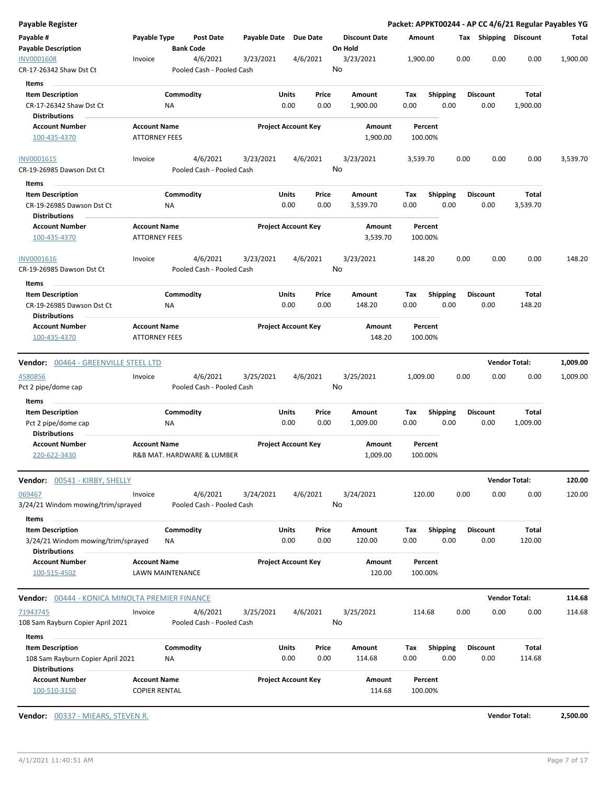| Payable Register                                           |                                             |                  |                                       |                       |                            |                                 |             |                         |      |                         |                      | Packet: APPKT00244 - AP CC 4/6/21 Regular Payables YG |
|------------------------------------------------------------|---------------------------------------------|------------------|---------------------------------------|-----------------------|----------------------------|---------------------------------|-------------|-------------------------|------|-------------------------|----------------------|-------------------------------------------------------|
| Payable #<br><b>Payable Description</b>                    | Payable Type                                | <b>Bank Code</b> | Post Date                             | Payable Date Due Date |                            | <b>Discount Date</b><br>On Hold |             | Amount                  |      | Tax Shipping Discount   |                      | Total                                                 |
| <b>INV0001608</b><br>CR-17-26342 Shaw Dst Ct               | Invoice                                     |                  | 4/6/2021<br>Pooled Cash - Pooled Cash | 3/23/2021             | 4/6/2021                   | 3/23/2021<br>No                 |             | 1,900.00                | 0.00 | 0.00                    | 0.00                 | 1,900.00                                              |
|                                                            |                                             |                  |                                       |                       |                            |                                 |             |                         |      |                         |                      |                                                       |
| Items                                                      |                                             |                  |                                       |                       |                            |                                 |             |                         |      |                         |                      |                                                       |
| <b>Item Description</b><br>CR-17-26342 Shaw Dst Ct         |                                             | Commodity<br>ΝA  |                                       | Units                 | Price<br>0.00<br>0.00      | Amount<br>1,900.00              | Tax<br>0.00 | <b>Shipping</b><br>0.00 |      | <b>Discount</b><br>0.00 | Total<br>1,900.00    |                                                       |
| <b>Distributions</b>                                       |                                             |                  |                                       |                       |                            |                                 |             |                         |      |                         |                      |                                                       |
| <b>Account Number</b><br>100-435-4370                      | <b>Account Name</b><br><b>ATTORNEY FEES</b> |                  |                                       |                       | <b>Project Account Key</b> | Amount<br>1,900.00              |             | Percent<br>100.00%      |      |                         |                      |                                                       |
| INV0001615                                                 | Invoice                                     |                  | 4/6/2021                              | 3/23/2021             | 4/6/2021                   | 3/23/2021                       |             | 3,539.70                | 0.00 | 0.00                    | 0.00                 | 3,539.70                                              |
| CR-19-26985 Dawson Dst Ct                                  |                                             |                  | Pooled Cash - Pooled Cash             |                       |                            | No                              |             |                         |      |                         |                      |                                                       |
| Items                                                      |                                             |                  |                                       |                       |                            |                                 |             |                         |      |                         |                      |                                                       |
| <b>Item Description</b>                                    |                                             | Commodity        |                                       | Units                 | Price                      | Amount                          | Tax         | <b>Shipping</b>         |      | <b>Discount</b>         | Total                |                                                       |
| CR-19-26985 Dawson Dst Ct<br><b>Distributions</b>          |                                             | NA               |                                       |                       | 0.00<br>0.00               | 3,539.70                        | 0.00        | 0.00                    |      | 0.00                    | 3,539.70             |                                                       |
| <b>Account Number</b><br>100-435-4370                      | <b>Account Name</b><br><b>ATTORNEY FEES</b> |                  |                                       |                       | <b>Project Account Key</b> | Amount<br>3,539.70              |             | Percent<br>100.00%      |      |                         |                      |                                                       |
|                                                            |                                             |                  |                                       |                       |                            |                                 |             |                         |      |                         |                      |                                                       |
| INV0001616<br>CR-19-26985 Dawson Dst Ct                    | Invoice                                     |                  | 4/6/2021<br>Pooled Cash - Pooled Cash | 3/23/2021             | 4/6/2021                   | 3/23/2021<br>No                 |             | 148.20                  | 0.00 | 0.00                    | 0.00                 | 148.20                                                |
| Items                                                      |                                             |                  |                                       |                       |                            |                                 |             |                         |      |                         |                      |                                                       |
| <b>Item Description</b><br>CR-19-26985 Dawson Dst Ct       |                                             | Commodity<br>ΝA  |                                       | Units                 | Price<br>0.00<br>0.00      | Amount<br>148.20                | Tax<br>0.00 | <b>Shipping</b><br>0.00 |      | <b>Discount</b><br>0.00 | Total<br>148.20      |                                                       |
| <b>Distributions</b><br><b>Account Number</b>              | <b>Account Name</b>                         |                  |                                       |                       | <b>Project Account Key</b> | Amount                          |             | Percent                 |      |                         |                      |                                                       |
| 100-435-4370                                               | <b>ATTORNEY FEES</b>                        |                  |                                       |                       |                            | 148.20                          |             | 100.00%                 |      |                         |                      |                                                       |
| <b>Vendor:</b> 00464 - GREENVILLE STEEL LTD                |                                             |                  |                                       |                       |                            |                                 |             |                         |      |                         | <b>Vendor Total:</b> | 1,009.00                                              |
| 4580856                                                    | Invoice                                     |                  | 4/6/2021                              | 3/25/2021             | 4/6/2021                   | 3/25/2021                       |             | 1,009.00                | 0.00 | 0.00                    | 0.00                 | 1,009.00                                              |
| Pct 2 pipe/dome cap                                        |                                             |                  | Pooled Cash - Pooled Cash             |                       |                            | No                              |             |                         |      |                         |                      |                                                       |
| Items<br><b>Item Description</b>                           |                                             | Commodity        |                                       | Units                 | Price                      | Amount                          | Tax         | <b>Shipping</b>         |      | <b>Discount</b>         | Total                |                                                       |
| Pct 2 pipe/dome cap                                        |                                             | ΝA               |                                       |                       | 0.00<br>0.00               | 1,009.00                        | 0.00        | 0.00                    |      | 0.00                    | 1,009.00             |                                                       |
| <b>Distributions</b>                                       |                                             |                  |                                       |                       |                            |                                 |             |                         |      |                         |                      |                                                       |
| <b>Account Number</b><br>220-622-3430                      | <b>Account Name</b>                         |                  | R&B MAT. HARDWARE & LUMBER            |                       | <b>Project Account Key</b> | Amount<br>1,009.00              |             | Percent<br>100.00%      |      |                         |                      |                                                       |
| <b>Vendor:</b> 00541 - KIRBY, SHELLY                       |                                             |                  |                                       |                       |                            |                                 |             |                         |      |                         | <b>Vendor Total:</b> | 120.00                                                |
| 069467<br>3/24/21 Windom mowing/trim/sprayed               | Invoice                                     |                  | 4/6/2021<br>Pooled Cash - Pooled Cash | 3/24/2021             | 4/6/2021                   | 3/24/2021<br>No                 |             | 120.00                  | 0.00 | 0.00                    | 0.00                 | 120.00                                                |
| Items                                                      |                                             |                  |                                       |                       |                            |                                 |             |                         |      |                         |                      |                                                       |
| <b>Item Description</b>                                    |                                             | Commodity        |                                       | Units                 | Price                      | Amount                          | Tax         | <b>Shipping</b>         |      | Discount                | Total                |                                                       |
| 3/24/21 Windom mowing/trim/sprayed<br><b>Distributions</b> |                                             | <b>NA</b>        |                                       |                       | 0.00<br>0.00               | 120.00                          | 0.00        | 0.00                    |      | 0.00                    | 120.00               |                                                       |
| <b>Account Number</b>                                      | <b>Account Name</b>                         |                  |                                       |                       | <b>Project Account Key</b> | Amount                          |             | Percent                 |      |                         |                      |                                                       |
| 100-515-4502                                               |                                             | LAWN MAINTENANCE |                                       |                       |                            | 120.00                          |             | 100.00%                 |      |                         |                      |                                                       |
| <b>Vendor:</b> 00444 - KONICA MINOLTA PREMIER FINANCE      |                                             |                  |                                       |                       |                            |                                 |             |                         |      |                         | <b>Vendor Total:</b> | 114.68                                                |
| 71943745                                                   | Invoice                                     |                  | 4/6/2021                              | 3/25/2021             | 4/6/2021                   | 3/25/2021                       |             | 114.68                  | 0.00 | 0.00                    | 0.00                 | 114.68                                                |
| 108 Sam Rayburn Copier April 2021                          |                                             |                  | Pooled Cash - Pooled Cash             |                       |                            | No                              |             |                         |      |                         |                      |                                                       |
| Items                                                      |                                             |                  |                                       |                       |                            |                                 |             |                         |      |                         |                      |                                                       |
| <b>Item Description</b>                                    |                                             | Commodity        |                                       | Units                 | Price                      | Amount                          | Tax         | <b>Shipping</b>         |      | Discount                | Total                |                                                       |
| 108 Sam Rayburn Copier April 2021<br><b>Distributions</b>  |                                             | ΝA               |                                       |                       | 0.00<br>0.00               | 114.68                          | 0.00        | 0.00                    |      | 0.00                    | 114.68               |                                                       |
| <b>Account Number</b><br>100-510-3150                      | <b>Account Name</b><br><b>COPIER RENTAL</b> |                  |                                       |                       | <b>Project Account Key</b> | Amount<br>114.68                |             | Percent<br>100.00%      |      |                         |                      |                                                       |
|                                                            |                                             |                  |                                       |                       |                            |                                 |             |                         |      |                         |                      |                                                       |

**Vendor:** 00337 - MIEARS, STEVEN R. **Vendor Total: 2,500.00**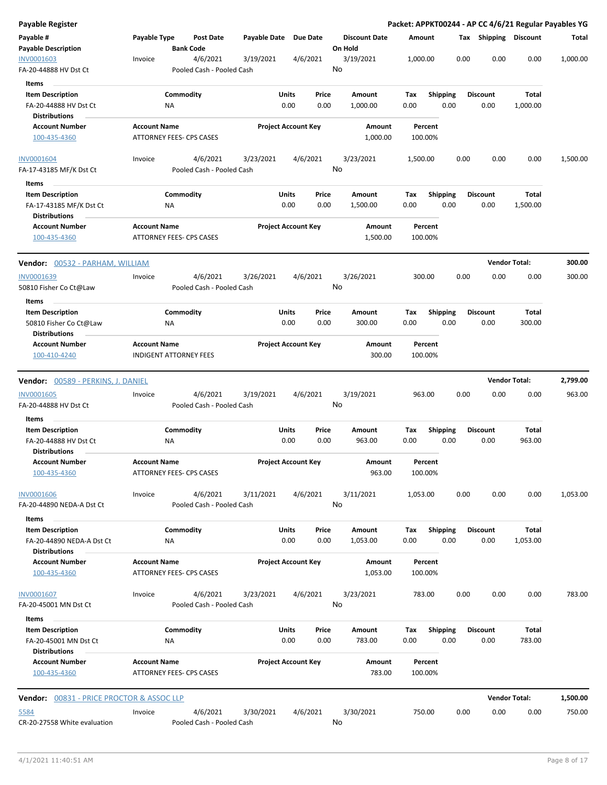| <b>Payable Register</b>                           |                                                 |                                       |           |                                |         |                      |             |                         |      |                         | Packet: APPKT00244 - AP CC 4/6/21 Regular Payables YG |          |
|---------------------------------------------------|-------------------------------------------------|---------------------------------------|-----------|--------------------------------|---------|----------------------|-------------|-------------------------|------|-------------------------|-------------------------------------------------------|----------|
| Payable #<br><b>Payable Description</b>           | Payable Type                                    | <b>Post Date</b><br><b>Bank Code</b>  |           | Payable Date Due Date          | On Hold | <b>Discount Date</b> | Amount      |                         |      | Tax Shipping Discount   |                                                       | Total    |
| INV0001603<br>FA-20-44888 HV Dst Ct               | Invoice                                         | 4/6/2021<br>Pooled Cash - Pooled Cash | 3/19/2021 | 4/6/2021                       | No      | 3/19/2021            | 1,000.00    |                         | 0.00 | 0.00                    | 0.00                                                  | 1,000.00 |
|                                                   |                                                 |                                       |           |                                |         |                      |             |                         |      |                         |                                                       |          |
| Items                                             |                                                 |                                       |           |                                |         |                      |             |                         |      |                         |                                                       |          |
| <b>Item Description</b><br>FA-20-44888 HV Dst Ct  | Commodity<br>ΝA                                 |                                       |           | Units<br>Price<br>0.00<br>0.00 |         | Amount<br>1,000.00   | Tax<br>0.00 | <b>Shipping</b><br>0.00 |      | <b>Discount</b><br>0.00 | Total<br>1,000.00                                     |          |
| <b>Distributions</b>                              |                                                 |                                       |           |                                |         |                      |             |                         |      |                         |                                                       |          |
| <b>Account Number</b><br>100-435-4360             | <b>Account Name</b><br>ATTORNEY FEES- CPS CASES |                                       |           | <b>Project Account Key</b>     |         | Amount<br>1,000.00   |             | Percent<br>100.00%      |      |                         |                                                       |          |
| <b>INV0001604</b><br>FA-17-43185 MF/K Dst Ct      | Invoice                                         | 4/6/2021<br>Pooled Cash - Pooled Cash | 3/23/2021 | 4/6/2021                       | No      | 3/23/2021            | 1,500.00    |                         | 0.00 | 0.00                    | 0.00                                                  | 1,500.00 |
| Items                                             |                                                 |                                       |           |                                |         |                      |             |                         |      |                         |                                                       |          |
| <b>Item Description</b>                           | Commodity                                       |                                       |           | Units<br>Price                 |         | Amount               | Tax         | <b>Shipping</b>         |      | <b>Discount</b>         | Total                                                 |          |
| FA-17-43185 MF/K Dst Ct                           | NA                                              |                                       |           | 0.00<br>0.00                   |         | 1,500.00             | 0.00        | 0.00                    |      | 0.00                    | 1,500.00                                              |          |
| <b>Distributions</b>                              |                                                 |                                       |           |                                |         |                      |             |                         |      |                         |                                                       |          |
| <b>Account Number</b><br>100-435-4360             | <b>Account Name</b><br>ATTORNEY FEES- CPS CASES |                                       |           | <b>Project Account Key</b>     |         | Amount<br>1,500.00   |             | Percent<br>100.00%      |      |                         |                                                       |          |
| <b>Vendor: 00532 - PARHAM, WILLIAM</b>            |                                                 |                                       |           |                                |         |                      |             |                         |      |                         | <b>Vendor Total:</b>                                  | 300.00   |
| INV0001639                                        | Invoice                                         | 4/6/2021                              | 3/26/2021 | 4/6/2021                       |         | 3/26/2021            |             | 300.00                  | 0.00 | 0.00                    | 0.00                                                  | 300.00   |
| 50810 Fisher Co Ct@Law                            |                                                 | Pooled Cash - Pooled Cash             |           |                                | No      |                      |             |                         |      |                         |                                                       |          |
| Items<br><b>Item Description</b>                  | Commodity                                       |                                       |           | Units<br>Price                 |         | Amount               | Tax         | <b>Shipping</b>         |      | <b>Discount</b>         | Total                                                 |          |
| 50810 Fisher Co Ct@Law                            | ΝA                                              |                                       |           | 0.00<br>0.00                   |         | 300.00               | 0.00        | 0.00                    |      | 0.00                    | 300.00                                                |          |
| <b>Distributions</b>                              |                                                 |                                       |           |                                |         |                      |             |                         |      |                         |                                                       |          |
| <b>Account Number</b>                             | <b>Account Name</b>                             |                                       |           | <b>Project Account Key</b>     |         | Amount               |             | Percent                 |      |                         |                                                       |          |
| 100-410-4240                                      | <b>INDIGENT ATTORNEY FEES</b>                   |                                       |           |                                |         | 300.00               |             | 100.00%                 |      |                         |                                                       |          |
| <b>Vendor:</b> 00589 - PERKINS, J. DANIEL         |                                                 |                                       |           |                                |         |                      |             |                         |      |                         | <b>Vendor Total:</b>                                  | 2,799.00 |
| <b>INV0001605</b>                                 | Invoice                                         | 4/6/2021                              | 3/19/2021 | 4/6/2021                       |         | 3/19/2021            |             | 963.00                  | 0.00 | 0.00                    | 0.00                                                  | 963.00   |
| FA-20-44888 HV Dst Ct                             |                                                 | Pooled Cash - Pooled Cash             |           |                                | No      |                      |             |                         |      |                         |                                                       |          |
| Items                                             |                                                 |                                       |           |                                |         |                      |             |                         |      |                         |                                                       |          |
| <b>Item Description</b>                           | Commodity                                       |                                       |           | Units<br>Price                 |         | Amount               | Tax         | <b>Shipping</b>         |      | <b>Discount</b>         | Total                                                 |          |
| FA-20-44888 HV Dst Ct                             | ΝA                                              |                                       |           | 0.00<br>0.00                   |         | 963.00               | 0.00        | 0.00                    |      | 0.00                    | 963.00                                                |          |
| <b>Distributions</b><br><b>Account Number</b>     | <b>Account Name</b>                             |                                       |           | <b>Project Account Key</b>     |         | Amount               |             | Percent                 |      |                         |                                                       |          |
| 100-435-4360                                      | ATTORNEY FEES- CPS CASES                        |                                       |           |                                |         | 963.00               |             | 100.00%                 |      |                         |                                                       |          |
| <b>INV0001606</b>                                 | Invoice                                         | 4/6/2021                              | 3/11/2021 | 4/6/2021                       |         | 3/11/2021            | 1,053.00    |                         | 0.00 | 0.00                    | 0.00                                                  | 1,053.00 |
| FA-20-44890 NEDA-A Dst Ct<br>Items                |                                                 | Pooled Cash - Pooled Cash             |           |                                | No      |                      |             |                         |      |                         |                                                       |          |
| <b>Item Description</b>                           | Commodity                                       |                                       |           | Units<br>Price                 |         | Amount               | Tax         | Shipping                |      | <b>Discount</b>         | Total                                                 |          |
| FA-20-44890 NEDA-A Dst Ct<br><b>Distributions</b> | <b>NA</b>                                       |                                       |           | 0.00<br>0.00                   |         | 1,053.00             | 0.00        | 0.00                    |      | 0.00                    | 1,053.00                                              |          |
| <b>Account Number</b>                             | <b>Account Name</b>                             |                                       |           | <b>Project Account Key</b>     |         | Amount               |             | Percent                 |      |                         |                                                       |          |
| 100-435-4360                                      | <b>ATTORNEY FEES- CPS CASES</b>                 |                                       |           |                                |         | 1,053.00             |             | 100.00%                 |      |                         |                                                       |          |
| <b>INV0001607</b><br>FA-20-45001 MN Dst Ct        | Invoice                                         | 4/6/2021<br>Pooled Cash - Pooled Cash | 3/23/2021 | 4/6/2021                       | No      | 3/23/2021            |             | 783.00                  | 0.00 | 0.00                    | 0.00                                                  | 783.00   |
| Items                                             |                                                 |                                       |           |                                |         |                      |             |                         |      |                         |                                                       |          |
| <b>Item Description</b><br>FA-20-45001 MN Dst Ct  | Commodity<br>ΝA                                 |                                       |           | Units<br>Price<br>0.00<br>0.00 |         | Amount<br>783.00     | Tax<br>0.00 | <b>Shipping</b><br>0.00 |      | <b>Discount</b><br>0.00 | Total<br>783.00                                       |          |
|                                                   |                                                 |                                       |           |                                |         |                      |             |                         |      |                         |                                                       |          |
| <b>Distributions</b>                              |                                                 |                                       |           |                                |         |                      |             |                         |      |                         |                                                       |          |
| <b>Account Number</b><br>100-435-4360             | <b>Account Name</b><br>ATTORNEY FEES- CPS CASES |                                       |           | <b>Project Account Key</b>     |         | Amount<br>783.00     |             | Percent<br>100.00%      |      |                         |                                                       |          |
| Vendor: 00831 - PRICE PROCTOR & ASSOC LLP         |                                                 |                                       |           |                                |         |                      |             |                         |      |                         | <b>Vendor Total:</b>                                  | 1,500.00 |
| 5584                                              | Invoice                                         | 4/6/2021                              | 3/30/2021 | 4/6/2021                       |         | 3/30/2021            |             | 750.00                  | 0.00 | 0.00                    | 0.00                                                  | 750.00   |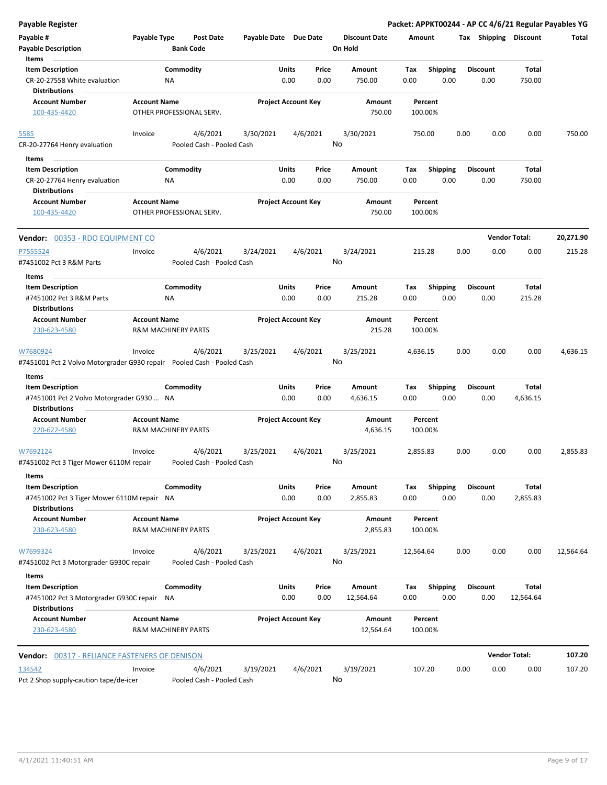| Payable Register                                                                               |                                                       |                                       |                            |               |                |                                 |                    |                         |      |                       |                      | Packet: APPKT00244 - AP CC 4/6/21 Regular Payables YG |
|------------------------------------------------------------------------------------------------|-------------------------------------------------------|---------------------------------------|----------------------------|---------------|----------------|---------------------------------|--------------------|-------------------------|------|-----------------------|----------------------|-------------------------------------------------------|
| Payable #<br><b>Payable Description</b>                                                        | Payable Type                                          | <b>Post Date</b><br><b>Bank Code</b>  | Payable Date Due Date      |               |                | <b>Discount Date</b><br>On Hold | Amount             |                         |      | Tax Shipping Discount |                      | Total                                                 |
| Items<br><b>Item Description</b>                                                               |                                                       | Commodity                             |                            | Units         | Price          | Amount                          | Tax                | <b>Shipping</b>         |      | <b>Discount</b>       | Total                |                                                       |
| CR-20-27558 White evaluation<br><b>Distributions</b>                                           | ΝA                                                    |                                       |                            | 0.00          | 0.00           | 750.00                          | 0.00               | 0.00                    |      | 0.00                  | 750.00               |                                                       |
| <b>Account Number</b>                                                                          | <b>Account Name</b>                                   |                                       | <b>Project Account Key</b> |               |                | Amount                          | Percent            |                         |      |                       |                      |                                                       |
| 100-435-4420                                                                                   |                                                       | OTHER PROFESSIONAL SERV.              |                            |               |                | 750.00                          | 100.00%            |                         |      |                       |                      |                                                       |
| 5585                                                                                           | Invoice                                               | 4/6/2021                              | 3/30/2021                  |               | 4/6/2021       | 3/30/2021                       | 750.00             |                         | 0.00 | 0.00                  | 0.00                 | 750.00                                                |
| CR-20-27764 Henry evaluation                                                                   |                                                       | Pooled Cash - Pooled Cash             |                            |               | No             |                                 |                    |                         |      |                       |                      |                                                       |
| Items                                                                                          |                                                       |                                       |                            |               |                |                                 |                    |                         |      |                       |                      |                                                       |
| <b>Item Description</b>                                                                        |                                                       | Commodity                             |                            | Units         | Price          | Amount                          | Тах                | <b>Shipping</b>         |      | <b>Discount</b>       | Total                |                                                       |
| CR-20-27764 Henry evaluation                                                                   | ΝA                                                    |                                       |                            | 0.00          | 0.00           | 750.00                          | 0.00               | 0.00                    |      | 0.00                  | 750.00               |                                                       |
| <b>Distributions</b>                                                                           |                                                       |                                       |                            |               |                |                                 |                    |                         |      |                       |                      |                                                       |
| <b>Account Number</b><br>100-435-4420                                                          | <b>Account Name</b>                                   | OTHER PROFESSIONAL SERV.              | <b>Project Account Key</b> |               |                | Amount<br>750.00                | Percent<br>100.00% |                         |      |                       |                      |                                                       |
| Vendor: 00353 - RDO EQUIPMENT CO                                                               |                                                       |                                       |                            |               |                |                                 |                    |                         |      |                       | <b>Vendor Total:</b> | 20,271.90                                             |
| P7555524<br>#7451002 Pct 3 R&M Parts                                                           | Invoice                                               | 4/6/2021<br>Pooled Cash - Pooled Cash | 3/24/2021                  |               | 4/6/2021<br>No | 3/24/2021                       | 215.28             |                         | 0.00 | 0.00                  | 0.00                 | 215.28                                                |
| Items                                                                                          |                                                       |                                       |                            |               |                |                                 |                    |                         |      |                       |                      |                                                       |
| <b>Item Description</b>                                                                        |                                                       | Commodity                             |                            | Units         | Price          | Amount                          | Тах                | <b>Shipping</b>         |      | <b>Discount</b>       | Total                |                                                       |
| #7451002 Pct 3 R&M Parts                                                                       | ΝA                                                    |                                       |                            | 0.00          | 0.00           | 215.28                          | 0.00               | 0.00                    |      | 0.00                  | 215.28               |                                                       |
| <b>Distributions</b>                                                                           |                                                       |                                       |                            |               |                |                                 |                    |                         |      |                       |                      |                                                       |
| <b>Account Number</b><br>230-623-4580                                                          | <b>Account Name</b><br><b>R&amp;M MACHINERY PARTS</b> |                                       | <b>Project Account Key</b> |               |                | Amount<br>215.28                | Percent<br>100.00% |                         |      |                       |                      |                                                       |
| W7680924<br>#7451001 Pct 2 Volvo Motorgrader G930 repair    Pooled Cash - Pooled Cash<br>Items | Invoice                                               | 4/6/2021                              | 3/25/2021                  |               | 4/6/2021<br>No | 3/25/2021                       | 4,636.15           |                         | 0.00 | 0.00                  | 0.00                 | 4,636.15                                              |
| <b>Item Description</b>                                                                        |                                                       | Commodity                             |                            | Units         | Price          | Amount                          | Tax                | <b>Shipping</b>         |      | <b>Discount</b>       | Total                |                                                       |
| #7451001 Pct 2 Volvo Motorgrader G930  NA<br><b>Distributions</b>                              |                                                       |                                       |                            | 0.00          | 0.00           | 4,636.15                        | 0.00               | 0.00                    |      | 0.00                  | 4,636.15             |                                                       |
| <b>Account Number</b>                                                                          | <b>Account Name</b>                                   |                                       | <b>Project Account Key</b> |               |                | Amount                          | Percent            |                         |      |                       |                      |                                                       |
| 220-622-4580                                                                                   | <b>R&amp;M MACHINERY PARTS</b>                        |                                       |                            |               |                | 4,636.15                        | 100.00%            |                         |      |                       |                      |                                                       |
| W7692124<br>#7451002 Pct 3 Tiger Mower 6110M repair                                            | Invoice                                               | 4/6/2021<br>Pooled Cash - Pooled Cash | 3/25/2021                  |               | 4/6/2021<br>No | 3/25/2021                       | 2,855.83           |                         | 0.00 | 0.00                  | 0.00                 | 2,855.83                                              |
| Items                                                                                          |                                                       |                                       |                            |               |                |                                 |                    |                         |      |                       |                      |                                                       |
| <b>Item Description</b><br>#7451002 Pct 3 Tiger Mower 6110M repair NA                          |                                                       | Commodity                             |                            | Units<br>0.00 | Price<br>0.00  | Amount<br>2,855.83              | Tax<br>0.00        | <b>Shipping</b><br>0.00 |      | Discount<br>0.00      | Total<br>2,855.83    |                                                       |
| <b>Distributions</b><br><b>Account Number</b><br>230-623-4580                                  | <b>Account Name</b><br><b>R&amp;M MACHINERY PARTS</b> |                                       | <b>Project Account Key</b> |               |                | Amount<br>2,855.83              | Percent<br>100.00% |                         |      |                       |                      |                                                       |
| W7699324                                                                                       | Invoice                                               | 4/6/2021                              | 3/25/2021                  |               | 4/6/2021       | 3/25/2021                       | 12,564.64          |                         | 0.00 | 0.00                  | 0.00                 | 12,564.64                                             |
| #7451002 Pct 3 Motorgrader G930C repair                                                        |                                                       | Pooled Cash - Pooled Cash             |                            |               | No             |                                 |                    |                         |      |                       |                      |                                                       |
| Items<br><b>Item Description</b>                                                               |                                                       | Commodity                             |                            | Units         | Price          | Amount                          |                    |                         |      | <b>Discount</b>       | Total                |                                                       |
| #7451002 Pct 3 Motorgrader G930C repair NA<br><b>Distributions</b>                             |                                                       |                                       |                            | 0.00          | 0.00           | 12,564.64                       | Tax<br>0.00        | <b>Shipping</b><br>0.00 |      | 0.00                  | 12,564.64            |                                                       |
| <b>Account Number</b><br>230-623-4580                                                          | <b>Account Name</b><br><b>R&amp;M MACHINERY PARTS</b> |                                       | <b>Project Account Key</b> |               |                | Amount<br>12,564.64             | Percent<br>100.00% |                         |      |                       |                      |                                                       |
| <b>Vendor:</b> 00317 - RELIANCE FASTENERS OF DENISON                                           |                                                       |                                       |                            |               |                |                                 |                    |                         |      |                       | <b>Vendor Total:</b> | 107.20                                                |
| 134542                                                                                         | Invoice                                               | 4/6/2021                              | 3/19/2021                  |               | 4/6/2021       | 3/19/2021                       | 107.20             |                         | 0.00 | 0.00                  | 0.00                 | 107.20                                                |
| Pct 2 Shop supply-caution tape/de-icer                                                         |                                                       | Pooled Cash - Pooled Cash             |                            |               | No             |                                 |                    |                         |      |                       |                      |                                                       |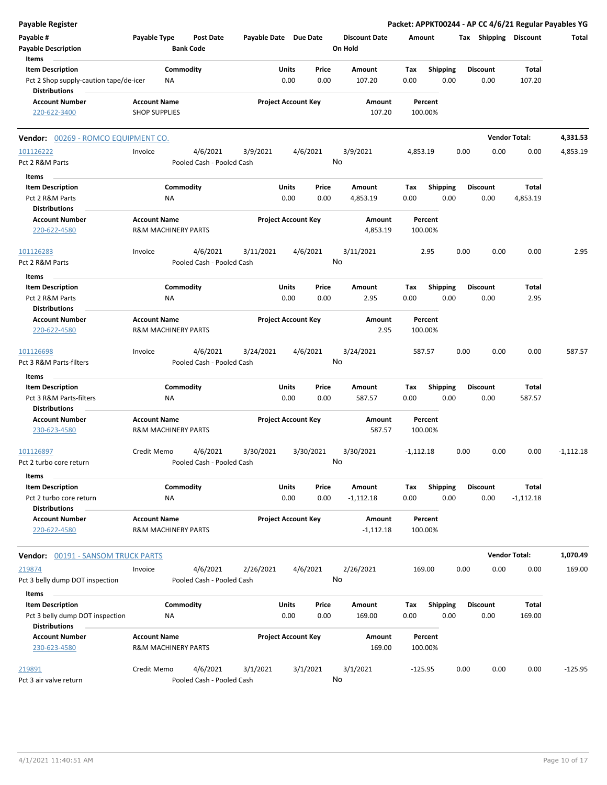| <b>Payable Register</b>                                                            |                                                       |                  |                                       |                       |               |                            |                                 |                    |                         |      |                         | Packet: APPKT00244 - AP CC 4/6/21 Regular Payables YG |             |
|------------------------------------------------------------------------------------|-------------------------------------------------------|------------------|---------------------------------------|-----------------------|---------------|----------------------------|---------------------------------|--------------------|-------------------------|------|-------------------------|-------------------------------------------------------|-------------|
| Payable #<br><b>Payable Description</b>                                            | Payable Type                                          | <b>Bank Code</b> | <b>Post Date</b>                      | Payable Date Due Date |               |                            | <b>Discount Date</b><br>On Hold | Amount             |                         |      | Tax Shipping Discount   |                                                       | Total       |
| Items<br><b>Item Description</b>                                                   |                                                       | Commodity        |                                       |                       | Units         | Price                      | Amount                          |                    |                         |      | <b>Discount</b>         | Total                                                 |             |
| Pct 2 Shop supply-caution tape/de-icer<br><b>Distributions</b>                     |                                                       | ΝA               |                                       |                       | 0.00          | 0.00                       | 107.20                          | Tax<br>0.00        | <b>Shipping</b><br>0.00 |      | 0.00                    | 107.20                                                |             |
| <b>Account Number</b><br>220-622-3400                                              | <b>Account Name</b><br><b>SHOP SUPPLIES</b>           |                  |                                       |                       |               | <b>Project Account Key</b> | Amount<br>107.20                | Percent<br>100.00% |                         |      |                         |                                                       |             |
| Vendor: 00269 - ROMCO EQUIPMENT CO.                                                |                                                       |                  |                                       |                       |               |                            |                                 |                    |                         |      |                         | <b>Vendor Total:</b>                                  | 4,331.53    |
| 101126222<br>Pct 2 R&M Parts                                                       | Invoice                                               |                  | 4/6/2021<br>Pooled Cash - Pooled Cash | 3/9/2021              |               | 4/6/2021<br>No             | 3/9/2021                        | 4,853.19           |                         | 0.00 | 0.00                    | 0.00                                                  | 4,853.19    |
| Items                                                                              |                                                       |                  |                                       |                       |               |                            |                                 |                    |                         |      |                         |                                                       |             |
| <b>Item Description</b><br>Pct 2 R&M Parts                                         |                                                       | Commodity<br>NA  |                                       |                       | Units<br>0.00 | Price<br>0.00              | Amount<br>4,853.19              | Tax<br>0.00        | <b>Shipping</b><br>0.00 |      | <b>Discount</b><br>0.00 | Total<br>4,853.19                                     |             |
| <b>Distributions</b>                                                               |                                                       |                  |                                       |                       |               |                            |                                 |                    |                         |      |                         |                                                       |             |
| <b>Account Number</b><br>220-622-4580                                              | <b>Account Name</b><br>R&M MACHINERY PARTS            |                  |                                       |                       |               | <b>Project Account Key</b> | Amount<br>4,853.19              | Percent<br>100.00% |                         |      |                         |                                                       |             |
| 101126283<br>Pct 2 R&M Parts                                                       | Invoice                                               |                  | 4/6/2021<br>Pooled Cash - Pooled Cash | 3/11/2021             |               | 4/6/2021<br>No             | 3/11/2021                       |                    | 2.95                    | 0.00 | 0.00                    | 0.00                                                  | 2.95        |
| Items                                                                              |                                                       |                  |                                       |                       |               |                            |                                 |                    |                         |      |                         |                                                       |             |
| <b>Item Description</b>                                                            |                                                       | Commodity        |                                       |                       | Units         | Price                      | Amount                          | Тах                | <b>Shipping</b>         |      | <b>Discount</b>         | Total                                                 |             |
| Pct 2 R&M Parts                                                                    |                                                       | ΝA               |                                       |                       | 0.00          | 0.00                       | 2.95                            | 0.00               | 0.00                    |      | 0.00                    | 2.95                                                  |             |
| <b>Distributions</b>                                                               |                                                       |                  |                                       |                       |               |                            |                                 |                    |                         |      |                         |                                                       |             |
| <b>Account Number</b><br>220-622-4580                                              | <b>Account Name</b><br><b>R&amp;M MACHINERY PARTS</b> |                  |                                       |                       |               | <b>Project Account Key</b> | Amount<br>2.95                  | Percent<br>100.00% |                         |      |                         |                                                       |             |
| 101126698<br>Pct 3 R&M Parts-filters                                               | Invoice                                               |                  | 4/6/2021<br>Pooled Cash - Pooled Cash | 3/24/2021             |               | 4/6/2021<br>No             | 3/24/2021                       | 587.57             |                         | 0.00 | 0.00                    | 0.00                                                  | 587.57      |
| Items                                                                              |                                                       |                  |                                       |                       |               |                            |                                 |                    |                         |      |                         |                                                       |             |
| <b>Item Description</b>                                                            |                                                       | Commodity        |                                       |                       | Units         | Price                      | Amount                          | Tax                | <b>Shipping</b>         |      | <b>Discount</b>         | Total                                                 |             |
| Pct 3 R&M Parts-filters                                                            |                                                       | ΝA               |                                       |                       | 0.00          | 0.00                       | 587.57                          | 0.00               | 0.00                    |      | 0.00                    | 587.57                                                |             |
| <b>Distributions</b>                                                               |                                                       |                  |                                       |                       |               |                            |                                 |                    |                         |      |                         |                                                       |             |
| <b>Account Number</b><br>230-623-4580                                              | <b>Account Name</b><br><b>R&amp;M MACHINERY PARTS</b> |                  |                                       |                       |               | <b>Project Account Key</b> | Amount<br>587.57                | Percent<br>100.00% |                         |      |                         |                                                       |             |
| 101126897                                                                          | Credit Memo                                           |                  | 4/6/2021                              | 3/30/2021             |               | 3/30/2021                  | 3/30/2021                       | $-1,112.18$        |                         | 0.00 | 0.00                    | 0.00                                                  | $-1,112.18$ |
| Pct 2 turbo core return                                                            |                                                       |                  | Pooled Cash - Pooled Cash             |                       |               | No                         |                                 |                    |                         |      |                         |                                                       |             |
| Items                                                                              |                                                       |                  |                                       |                       |               |                            |                                 |                    |                         |      |                         |                                                       |             |
| <b>Item Description</b><br>Pct 2 turbo core return                                 |                                                       | Commodity<br>NA  |                                       |                       | Units<br>0.00 | Price<br>0.00              | Amount<br>$-1,112.18$           | Tax<br>0.00        | <b>Shipping</b><br>0.00 |      | <b>Discount</b><br>0.00 | Total<br>$-1,112.18$                                  |             |
| <b>Distributions</b><br><b>Account Number</b><br>220-622-4580                      | <b>Account Name</b><br><b>R&amp;M MACHINERY PARTS</b> |                  |                                       |                       |               | <b>Project Account Key</b> | Amount<br>$-1,112.18$           | Percent<br>100.00% |                         |      |                         |                                                       |             |
| <b>Vendor: 00191 - SANSOM TRUCK PARTS</b>                                          |                                                       |                  |                                       |                       |               |                            |                                 |                    |                         |      |                         | <b>Vendor Total:</b>                                  | 1,070.49    |
| 219874                                                                             | Invoice                                               |                  | 4/6/2021                              | 2/26/2021             |               | 4/6/2021                   | 2/26/2021                       | 169.00             |                         | 0.00 | 0.00                    | 0.00                                                  | 169.00      |
| Pct 3 belly dump DOT inspection                                                    |                                                       |                  | Pooled Cash - Pooled Cash             |                       |               | No                         |                                 |                    |                         |      |                         |                                                       |             |
| Items                                                                              |                                                       |                  |                                       |                       |               |                            |                                 |                    |                         |      |                         |                                                       |             |
| <b>Item Description</b><br>Pct 3 belly dump DOT inspection<br><b>Distributions</b> |                                                       | Commodity<br>NA  |                                       |                       | Units<br>0.00 | Price<br>0.00              | Amount<br>169.00                | Tax<br>0.00        | <b>Shipping</b><br>0.00 |      | <b>Discount</b><br>0.00 | Total<br>169.00                                       |             |
| <b>Account Number</b><br>230-623-4580                                              | <b>Account Name</b><br>R&M MACHINERY PARTS            |                  |                                       |                       |               | <b>Project Account Key</b> | Amount<br>169.00                | Percent<br>100.00% |                         |      |                         |                                                       |             |
| 219891<br>Pct 3 air valve return                                                   | Credit Memo                                           |                  | 4/6/2021<br>Pooled Cash - Pooled Cash | 3/1/2021              |               | 3/1/2021<br>No             | 3/1/2021                        | $-125.95$          |                         | 0.00 | 0.00                    | 0.00                                                  | $-125.95$   |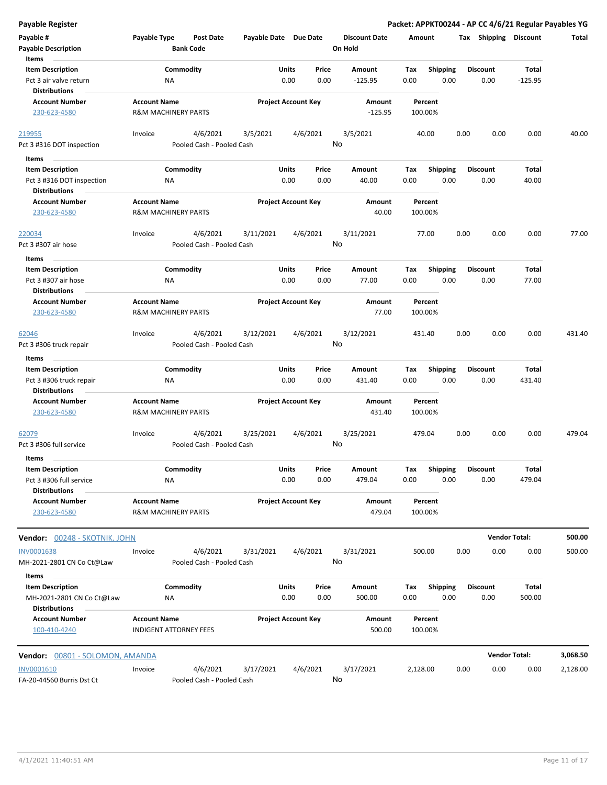| <b>Payable Register</b>                              |                                                       |                                       |                            |               |               |                                 |             |                         |      |                         | Packet: APPKT00244 - AP CC 4/6/21 Regular Payables YG |          |
|------------------------------------------------------|-------------------------------------------------------|---------------------------------------|----------------------------|---------------|---------------|---------------------------------|-------------|-------------------------|------|-------------------------|-------------------------------------------------------|----------|
| Payable #<br><b>Payable Description</b>              | Payable Type                                          | <b>Post Date</b><br><b>Bank Code</b>  | Payable Date Due Date      |               |               | <b>Discount Date</b><br>On Hold | Amount      |                         |      | Tax Shipping Discount   |                                                       | Total    |
| Items                                                |                                                       |                                       |                            |               |               |                                 |             |                         |      |                         |                                                       |          |
| <b>Item Description</b>                              |                                                       | Commodity                             |                            | Units         | Price         | Amount                          | Tax         | Shipping                |      | <b>Discount</b>         | Total                                                 |          |
| Pct 3 air valve return<br><b>Distributions</b>       | ΝA                                                    |                                       |                            | 0.00          | 0.00          | $-125.95$                       | 0.00        | 0.00                    |      | 0.00                    | $-125.95$                                             |          |
| <b>Account Number</b>                                | <b>Account Name</b>                                   |                                       | <b>Project Account Key</b> |               |               | Amount                          |             | Percent                 |      |                         |                                                       |          |
| 230-623-4580                                         | <b>R&amp;M MACHINERY PARTS</b>                        |                                       |                            |               |               | $-125.95$                       | 100.00%     |                         |      |                         |                                                       |          |
| 219955                                               | Invoice                                               | 4/6/2021                              | 3/5/2021                   | 4/6/2021      |               | 3/5/2021                        |             | 40.00                   | 0.00 | 0.00                    | 0.00                                                  | 40.00    |
| Pct 3 #316 DOT inspection                            |                                                       | Pooled Cash - Pooled Cash             |                            |               |               | No                              |             |                         |      |                         |                                                       |          |
| Items                                                |                                                       |                                       |                            |               |               |                                 |             |                         |      |                         |                                                       |          |
| <b>Item Description</b>                              |                                                       | Commodity                             |                            | Units         | Price         | Amount                          | Tax         | <b>Shipping</b>         |      | <b>Discount</b>         | Total                                                 |          |
| Pct 3 #316 DOT inspection<br><b>Distributions</b>    | ΝA                                                    |                                       |                            | 0.00          | 0.00          | 40.00                           | 0.00        | 0.00                    |      | 0.00                    | 40.00                                                 |          |
| <b>Account Number</b>                                | <b>Account Name</b>                                   |                                       | <b>Project Account Key</b> |               |               | Amount                          |             | Percent                 |      |                         |                                                       |          |
| 230-623-4580                                         | <b>R&amp;M MACHINERY PARTS</b>                        |                                       |                            |               |               | 40.00                           | 100.00%     |                         |      |                         |                                                       |          |
| 220034                                               | Invoice                                               | 4/6/2021                              | 3/11/2021                  | 4/6/2021      |               | 3/11/2021                       |             | 77.00                   | 0.00 | 0.00                    | 0.00                                                  | 77.00    |
| Pct 3 #307 air hose                                  |                                                       | Pooled Cash - Pooled Cash             |                            |               |               | No                              |             |                         |      |                         |                                                       |          |
| Items                                                |                                                       |                                       |                            |               |               |                                 |             |                         |      |                         |                                                       |          |
| <b>Item Description</b>                              |                                                       | Commodity                             |                            | Units         | Price         | Amount                          | Tax         | <b>Shipping</b>         |      | <b>Discount</b>         | Total                                                 |          |
| Pct 3 #307 air hose                                  | NA                                                    |                                       |                            | 0.00          | 0.00          | 77.00                           | 0.00        | 0.00                    |      | 0.00                    | 77.00                                                 |          |
| <b>Distributions</b>                                 |                                                       |                                       |                            |               |               |                                 |             |                         |      |                         |                                                       |          |
| <b>Account Number</b>                                | <b>Account Name</b>                                   |                                       | <b>Project Account Key</b> |               |               | Amount                          |             | Percent                 |      |                         |                                                       |          |
| 230-623-4580                                         | <b>R&amp;M MACHINERY PARTS</b>                        |                                       |                            |               |               | 77.00                           | 100.00%     |                         |      |                         |                                                       |          |
| 62046                                                | Invoice                                               | 4/6/2021                              | 3/12/2021                  | 4/6/2021      |               | 3/12/2021                       | 431.40      |                         | 0.00 | 0.00                    | 0.00                                                  | 431.40   |
| Pct 3 #306 truck repair                              |                                                       | Pooled Cash - Pooled Cash             |                            |               |               | No                              |             |                         |      |                         |                                                       |          |
| Items                                                |                                                       |                                       |                            |               |               |                                 |             |                         |      |                         |                                                       |          |
| <b>Item Description</b><br>Pct 3 #306 truck repair   | NA                                                    | Commodity                             |                            | Units<br>0.00 | Price<br>0.00 | Amount<br>431.40                | Tax<br>0.00 | <b>Shipping</b><br>0.00 |      | <b>Discount</b><br>0.00 | Total<br>431.40                                       |          |
| <b>Distributions</b>                                 |                                                       |                                       |                            |               |               |                                 |             |                         |      |                         |                                                       |          |
| <b>Account Number</b><br>230-623-4580                | <b>Account Name</b><br><b>R&amp;M MACHINERY PARTS</b> |                                       | <b>Project Account Key</b> |               |               | Amount<br>431.40                | 100.00%     | Percent                 |      |                         |                                                       |          |
| 62079<br>Pct 3 #306 full service                     | Invoice                                               | 4/6/2021<br>Pooled Cash - Pooled Cash | 3/25/2021                  | 4/6/2021      |               | 3/25/2021<br>No                 | 479.04      |                         | 0.00 | 0.00                    | 0.00                                                  | 479.04   |
| Items                                                |                                                       |                                       |                            |               |               |                                 |             |                         |      |                         |                                                       |          |
| <b>Item Description</b>                              |                                                       | Commodity                             |                            | Units         | Price         | Amount                          | Tax         | Shipping                |      | <b>Discount</b>         | Total                                                 |          |
| Pct 3 #306 full service                              | <b>NA</b>                                             |                                       |                            | 0.00          | 0.00          | 479.04                          | 0.00        | 0.00                    |      | 0.00                    | 479.04                                                |          |
| <b>Distributions</b>                                 |                                                       |                                       |                            |               |               |                                 |             |                         |      |                         |                                                       |          |
| <b>Account Number</b><br>230-623-4580                | <b>Account Name</b><br><b>R&amp;M MACHINERY PARTS</b> |                                       | <b>Project Account Key</b> |               |               | Amount<br>479.04                | 100.00%     | Percent                 |      |                         |                                                       |          |
| Vendor: 00248 - SKOTNIK, JOHN                        |                                                       |                                       |                            |               |               |                                 |             |                         |      | <b>Vendor Total:</b>    |                                                       | 500.00   |
| <b>INV0001638</b>                                    | Invoice                                               | 4/6/2021                              | 3/31/2021                  | 4/6/2021      |               | 3/31/2021                       | 500.00      |                         | 0.00 | 0.00                    | 0.00                                                  | 500.00   |
| MH-2021-2801 CN Co Ct@Law                            |                                                       | Pooled Cash - Pooled Cash             |                            |               |               | No                              |             |                         |      |                         |                                                       |          |
| Items                                                |                                                       |                                       |                            |               |               |                                 |             |                         |      |                         |                                                       |          |
| <b>Item Description</b><br>MH-2021-2801 CN Co Ct@Law | ΝA                                                    | Commodity                             |                            | Units<br>0.00 | Price<br>0.00 | Amount<br>500.00                | Tax<br>0.00 | Shipping<br>0.00        |      | <b>Discount</b><br>0.00 | Total<br>500.00                                       |          |
| <b>Distributions</b>                                 |                                                       |                                       |                            |               |               |                                 |             |                         |      |                         |                                                       |          |
| <b>Account Number</b><br>100-410-4240                | <b>Account Name</b>                                   | <b>INDIGENT ATTORNEY FEES</b>         | <b>Project Account Key</b> |               |               | Amount<br>500.00                | 100.00%     | Percent                 |      |                         |                                                       |          |
| Vendor: 00801 - SOLOMON, AMANDA                      |                                                       |                                       |                            |               |               |                                 |             |                         |      | <b>Vendor Total:</b>    |                                                       | 3,068.50 |
| INV0001610                                           | Invoice                                               | 4/6/2021                              | 3/17/2021                  | 4/6/2021      |               | 3/17/2021                       | 2,128.00    |                         | 0.00 | 0.00                    | 0.00                                                  | 2,128.00 |
| FA-20-44560 Burris Dst Ct                            |                                                       | Pooled Cash - Pooled Cash             |                            |               |               | No                              |             |                         |      |                         |                                                       |          |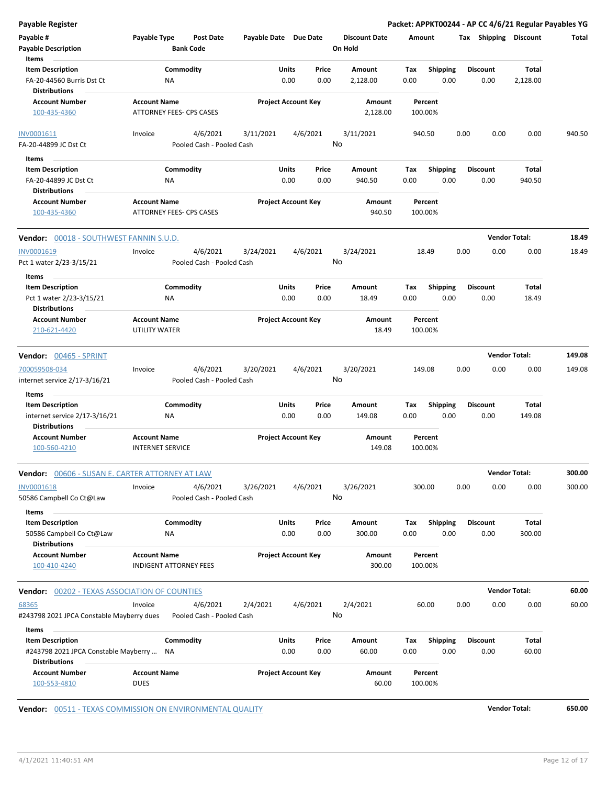| <b>Payable Register</b>                                          |                                    |                                       |                       |                            |                      |        |                    |      |                      | Packet: APPKT00244 - AP CC 4/6/21 Regular Payables YG |        |
|------------------------------------------------------------------|------------------------------------|---------------------------------------|-----------------------|----------------------------|----------------------|--------|--------------------|------|----------------------|-------------------------------------------------------|--------|
| Payable #                                                        | Payable Type                       | <b>Post Date</b>                      | Payable Date Due Date |                            | <b>Discount Date</b> | Amount |                    |      |                      | Tax Shipping Discount                                 | Total  |
| <b>Payable Description</b>                                       |                                    | <b>Bank Code</b>                      |                       |                            | On Hold              |        |                    |      |                      |                                                       |        |
| Items                                                            |                                    |                                       |                       |                            |                      |        |                    |      |                      |                                                       |        |
| <b>Item Description</b>                                          |                                    | Commodity                             |                       | Units<br>Price             | Amount               | Tax    | <b>Shipping</b>    |      | <b>Discount</b>      | <b>Total</b>                                          |        |
| FA-20-44560 Burris Dst Ct<br><b>Distributions</b>                | ΝA                                 |                                       |                       | 0.00<br>0.00               | 2,128.00             | 0.00   | 0.00               |      | 0.00                 | 2,128.00                                              |        |
| <b>Account Number</b><br>100-435-4360                            | <b>Account Name</b>                | ATTORNEY FEES- CPS CASES              |                       | <b>Project Account Key</b> | Amount<br>2,128.00   |        | Percent<br>100.00% |      |                      |                                                       |        |
| INV0001611                                                       | Invoice                            | 4/6/2021                              | 3/11/2021             | 4/6/2021                   | 3/11/2021            |        | 940.50             | 0.00 | 0.00                 | 0.00                                                  | 940.50 |
| FA-20-44899 JC Dst Ct                                            |                                    | Pooled Cash - Pooled Cash             |                       |                            | No                   |        |                    |      |                      |                                                       |        |
| Items                                                            |                                    |                                       |                       |                            |                      |        |                    |      |                      |                                                       |        |
| <b>Item Description</b>                                          |                                    | Commodity                             |                       | Units<br>Price             | Amount               | Tax    | <b>Shipping</b>    |      | <b>Discount</b>      | Total                                                 |        |
| FA-20-44899 JC Dst Ct<br><b>Distributions</b>                    | ΝA                                 |                                       |                       | 0.00<br>0.00               | 940.50               | 0.00   | 0.00               |      | 0.00                 | 940.50                                                |        |
| <b>Account Number</b>                                            | <b>Account Name</b>                |                                       |                       | <b>Project Account Key</b> | Amount               |        | Percent            |      |                      |                                                       |        |
| 100-435-4360                                                     |                                    | <b>ATTORNEY FEES- CPS CASES</b>       |                       |                            | 940.50               |        | 100.00%            |      |                      |                                                       |        |
| <b>Vendor: 00018 - SOUTHWEST FANNIN S.U.D.</b>                   |                                    |                                       |                       |                            |                      |        |                    |      | <b>Vendor Total:</b> |                                                       | 18.49  |
| INV0001619                                                       | Invoice                            | 4/6/2021                              | 3/24/2021             | 4/6/2021                   | 3/24/2021            |        | 18.49              | 0.00 | 0.00                 | 0.00                                                  | 18.49  |
| Pct 1 water 2/23-3/15/21                                         |                                    | Pooled Cash - Pooled Cash             |                       |                            | No                   |        |                    |      |                      |                                                       |        |
| Items                                                            |                                    |                                       |                       |                            |                      |        |                    |      |                      |                                                       |        |
| <b>Item Description</b>                                          |                                    | Commodity                             |                       | Units<br>Price             | Amount               | Tax    | <b>Shipping</b>    |      | <b>Discount</b>      | Total                                                 |        |
| Pct 1 water 2/23-3/15/21<br><b>Distributions</b>                 | NA                                 |                                       |                       | 0.00<br>0.00               | 18.49                | 0.00   | 0.00               |      | 0.00                 | 18.49                                                 |        |
| <b>Account Number</b>                                            | <b>Account Name</b>                |                                       |                       | <b>Project Account Key</b> | Amount               |        | Percent            |      |                      |                                                       |        |
| 210-621-4420                                                     | UTILITY WATER                      |                                       |                       |                            | 18.49                |        | 100.00%            |      |                      |                                                       |        |
| Vendor: 00465 - SPRINT                                           |                                    |                                       |                       |                            |                      |        |                    |      | <b>Vendor Total:</b> |                                                       | 149.08 |
| 700059508-034<br>internet service 2/17-3/16/21                   | Invoice                            | 4/6/2021<br>Pooled Cash - Pooled Cash | 3/20/2021             | 4/6/2021                   | 3/20/2021<br>No      |        | 149.08             | 0.00 | 0.00                 | 0.00                                                  | 149.08 |
| Items<br><b>Item Description</b>                                 |                                    | Commodity                             |                       | Units<br>Price             | Amount               | Tax    | <b>Shipping</b>    |      | <b>Discount</b>      | Total                                                 |        |
| internet service 2/17-3/16/21                                    | ΝA                                 |                                       |                       | 0.00<br>0.00               | 149.08               | 0.00   | 0.00               |      | 0.00                 | 149.08                                                |        |
| <b>Distributions</b>                                             |                                    |                                       |                       |                            |                      |        |                    |      |                      |                                                       |        |
| <b>Account Number</b>                                            | <b>Account Name</b>                |                                       |                       | <b>Project Account Key</b> | Amount               |        | Percent            |      |                      |                                                       |        |
| 100-560-4210                                                     | <b>INTERNET SERVICE</b>            |                                       |                       |                            | 149.08               |        | 100.00%            |      |                      |                                                       |        |
| <b>Vendor:</b> 00606 - SUSAN E. CARTER ATTORNEY AT LAW           |                                    |                                       |                       |                            |                      |        |                    |      | <b>Vendor Total:</b> |                                                       | 300.00 |
| <b>INV0001618</b>                                                | Invoice                            | 4/6/2021                              | 3/26/2021             | 4/6/2021                   | 3/26/2021            |        | 300.00             | 0.00 | 0.00                 | 0.00                                                  | 300.00 |
| 50586 Campbell Co Ct@Law                                         |                                    | Pooled Cash - Pooled Cash             |                       |                            | No                   |        |                    |      |                      |                                                       |        |
| Items                                                            |                                    |                                       |                       |                            |                      |        |                    |      |                      |                                                       |        |
| <b>Item Description</b>                                          |                                    | Commodity                             |                       | Units<br>Price             | Amount               | Тах    | Shipping           |      | <b>Discount</b>      | <b>Total</b>                                          |        |
| 50586 Campbell Co Ct@Law                                         | ΝA                                 |                                       |                       | 0.00<br>0.00               | 300.00               | 0.00   | 0.00               |      | 0.00                 | 300.00                                                |        |
| <b>Distributions</b>                                             |                                    |                                       |                       |                            |                      |        |                    |      |                      |                                                       |        |
| <b>Account Number</b>                                            | <b>Account Name</b>                |                                       |                       | <b>Project Account Key</b> | Amount               |        | Percent            |      |                      |                                                       |        |
| 100-410-4240                                                     | <b>INDIGENT ATTORNEY FEES</b>      |                                       |                       |                            | 300.00               |        | 100.00%            |      |                      |                                                       |        |
| <b>Vendor: 00202 - TEXAS ASSOCIATION OF COUNTIES</b>             |                                    |                                       |                       |                            |                      |        |                    |      | <b>Vendor Total:</b> |                                                       | 60.00  |
| 68365                                                            | Invoice                            | 4/6/2021                              | 2/4/2021              | 4/6/2021                   | 2/4/2021             |        | 60.00              | 0.00 | 0.00                 | 0.00                                                  | 60.00  |
| #243798 2021 JPCA Constable Mayberry dues                        |                                    | Pooled Cash - Pooled Cash             |                       |                            | No                   |        |                    |      |                      |                                                       |        |
| Items                                                            |                                    |                                       |                       |                            |                      |        |                    |      |                      |                                                       |        |
| <b>Item Description</b>                                          |                                    | Commodity                             |                       | Units<br>Price             | Amount               | Тах    | <b>Shipping</b>    |      | <b>Discount</b>      | Total                                                 |        |
| #243798 2021 JPCA Constable Mayberry  NA<br><b>Distributions</b> |                                    |                                       |                       | 0.00<br>0.00               | 60.00                | 0.00   | 0.00               |      | 0.00                 | 60.00                                                 |        |
| <b>Account Number</b><br>100-553-4810                            | <b>Account Name</b><br><b>DUES</b> |                                       |                       | <b>Project Account Key</b> | Amount<br>60.00      |        | Percent<br>100.00% |      |                      |                                                       |        |

**Vendor:** 00511 - TEXAS COMMISSION ON ENVIRONMENTAL QUALITY **Vendor Total: 650.00 Vendor Total:** 650.00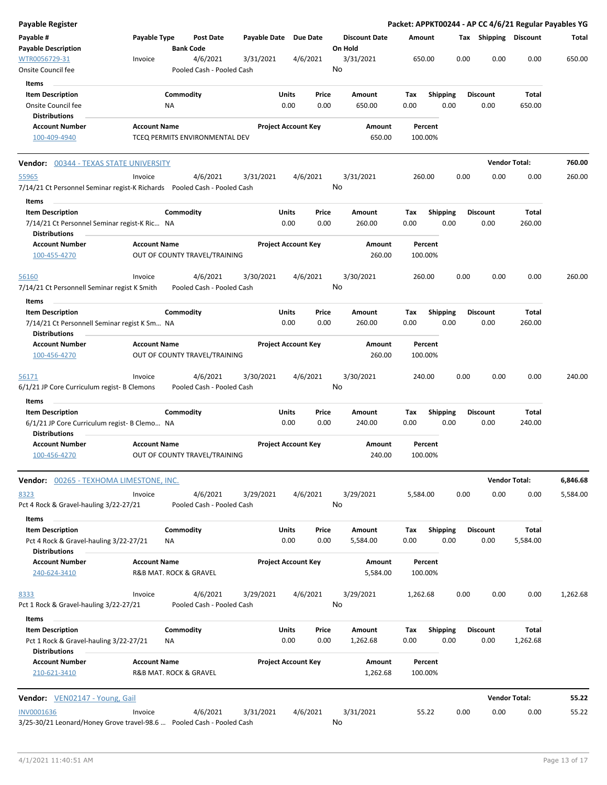| Payable #<br>Payable Type<br>Payable Date Due Date<br><b>Discount Date</b><br>Tax Shipping Discount<br><b>Post Date</b><br>Amount<br>Total<br><b>Payable Description</b><br><b>Bank Code</b><br>On Hold<br>0.00<br>0.00<br>0.00<br>650.00<br>WTR0056729-31<br>4/6/2021<br>3/31/2021<br>4/6/2021<br>3/31/2021<br>650.00<br>Invoice<br>No<br>Onsite Council fee<br>Pooled Cash - Pooled Cash<br>Items<br>Commodity<br>Units<br><b>Item Description</b><br>Price<br>Amount<br>Tax<br><b>Shipping</b><br><b>Discount</b><br>Total<br>Onsite Council fee<br><b>NA</b><br>0.00<br>0.00<br>650.00<br>0.00<br>0.00<br>0.00<br>650.00<br><b>Distributions</b><br><b>Account Name</b><br><b>Project Account Key</b><br><b>Account Number</b><br>Amount<br>Percent<br>650.00<br>100-409-4940<br>TCEQ PERMITS ENVIRONMENTAL DEV<br>100.00%<br><b>Vendor Total:</b><br>760.00<br><b>Vendor: 00344 - TEXAS STATE UNIVERSITY</b><br>Invoice<br>4/6/2021<br>3/31/2021<br>4/6/2021<br>3/31/2021<br>260.00<br>0.00<br>0.00<br>0.00<br>260.00<br>55965<br>No<br>7/14/21 Ct Personnel Seminar regist-K Richards  Pooled Cash - Pooled Cash<br>Items<br><b>Item Description</b><br>Commodity<br>Units<br>Price<br><b>Discount</b><br>Total<br>Amount<br>Tax<br><b>Shipping</b><br>7/14/21 Ct Personnel Seminar regist-K Ric NA<br>0.00<br>0.00<br>260.00<br>0.00<br>0.00<br>0.00<br>260.00<br><b>Distributions</b><br><b>Project Account Key</b><br><b>Account Number</b><br><b>Account Name</b><br>Amount<br>Percent<br>260.00<br>100-455-4270<br>OUT OF COUNTY TRAVEL/TRAINING<br>100.00%<br>4/6/2021<br>3/30/2021<br>4/6/2021<br>3/30/2021<br>0.00<br>0.00<br>0.00<br>260.00<br>56160<br>Invoice<br>260.00<br>No<br>7/14/21 Ct Personnell Seminar regist K Smith<br>Pooled Cash - Pooled Cash<br>Items<br>Commodity<br>Units<br><b>Shipping</b><br><b>Discount</b><br>Total<br><b>Item Description</b><br>Price<br>Amount<br>Tax<br>0.00<br>0.00<br>0.00<br>0.00<br>260.00<br>0.00<br>260.00<br>7/14/21 Ct Personnell Seminar regist K Sm NA<br><b>Distributions</b><br><b>Account Number</b><br><b>Project Account Key</b><br><b>Account Name</b><br>Amount<br>Percent<br>OUT OF COUNTY TRAVEL/TRAINING<br>260.00<br>100.00%<br>100-456-4270<br>4/6/2021<br>3/30/2021<br>4/6/2021<br>3/30/2021<br>0.00<br>0.00<br>0.00<br>240.00<br>Invoice<br>240.00<br><u>56171</u><br>No<br>6/1/21 JP Core Curriculum regist- B Clemons<br>Pooled Cash - Pooled Cash<br>Items<br>Commodity<br>Units<br><b>Shipping</b><br><b>Item Description</b><br>Price<br>Amount<br><b>Discount</b><br>Total<br>Tax<br>0.00<br>0.00<br>240.00<br>0.00<br>0.00<br>0.00<br>240.00<br>6/1/21 JP Core Curriculum regist- B Clemo NA<br><b>Distributions</b><br><b>Account Number</b><br><b>Project Account Key</b><br><b>Account Name</b><br>Amount<br>Percent<br>100-456-4270<br>OUT OF COUNTY TRAVEL/TRAINING<br>240.00<br>100.00%<br><b>Vendor Total:</b><br>6,846.68<br>Vendor: 00265 - TEXHOMA LIMESTONE, INC.<br>4/6/2021<br>3/29/2021<br>4/6/2021<br>3/29/2021<br>0.00<br>0.00<br>0.00<br>8323<br>Invoice<br>5,584.00<br>5,584.00<br>No<br>Pct 4 Rock & Gravel-hauling 3/22-27/21<br>Pooled Cash - Pooled Cash<br>Items<br>Commodity<br><b>Item Description</b><br>Units<br>Amount<br><b>Shipping</b><br><b>Discount</b><br>Total<br>Price<br>Tax<br>0.00<br>0.00<br>0.00<br>0.00<br>0.00<br>Pct 4 Rock & Gravel-hauling 3/22-27/21<br>5,584.00<br>5,584.00<br>ΝA<br><b>Distributions</b><br><b>Account Number</b><br><b>Account Name</b><br><b>Project Account Key</b><br>Amount<br>Percent<br>5,584.00<br>240-624-3410<br>R&B MAT. ROCK & GRAVEL<br>100.00%<br>1,262.68<br>4/6/2021<br>3/29/2021<br>4/6/2021<br>3/29/2021<br>1,262.68<br>0.00<br>0.00<br>0.00<br>8333<br>Invoice<br>No<br>Pooled Cash - Pooled Cash<br>Pct 1 Rock & Gravel-hauling 3/22-27/21<br>Items<br>Commodity<br>Units<br>Shipping<br><b>Item Description</b><br>Price<br>Amount<br>Tax<br><b>Discount</b><br>Total<br>Pct 1 Rock & Gravel-hauling 3/22-27/21<br>0.00<br>0.00<br>1,262.68<br>0.00<br>0.00<br>0.00<br>1,262.68<br>ΝA<br><b>Distributions</b><br><b>Account Number</b><br><b>Project Account Key</b><br><b>Account Name</b><br>Amount<br>Percent<br>1,262.68<br>210-621-3410<br>R&B MAT. ROCK & GRAVEL<br>100.00%<br><b>Vendor Total:</b><br>Vendor: VEN02147 - Young, Gail<br>55.22<br>INV0001636<br>Invoice<br>4/6/2021<br>3/31/2021<br>4/6/2021<br>3/31/2021<br>55.22<br>0.00<br>0.00<br>0.00<br>55.22<br>3/25-30/21 Leonard/Honey Grove travel-98.6  Pooled Cash - Pooled Cash<br>No | <b>Payable Register</b> |  |  |  |  |  | Packet: APPKT00244 - AP CC 4/6/21 Regular Payables YG |  |
|-----------------------------------------------------------------------------------------------------------------------------------------------------------------------------------------------------------------------------------------------------------------------------------------------------------------------------------------------------------------------------------------------------------------------------------------------------------------------------------------------------------------------------------------------------------------------------------------------------------------------------------------------------------------------------------------------------------------------------------------------------------------------------------------------------------------------------------------------------------------------------------------------------------------------------------------------------------------------------------------------------------------------------------------------------------------------------------------------------------------------------------------------------------------------------------------------------------------------------------------------------------------------------------------------------------------------------------------------------------------------------------------------------------------------------------------------------------------------------------------------------------------------------------------------------------------------------------------------------------------------------------------------------------------------------------------------------------------------------------------------------------------------------------------------------------------------------------------------------------------------------------------------------------------------------------------------------------------------------------------------------------------------------------------------------------------------------------------------------------------------------------------------------------------------------------------------------------------------------------------------------------------------------------------------------------------------------------------------------------------------------------------------------------------------------------------------------------------------------------------------------------------------------------------------------------------------------------------------------------------------------------------------------------------------------------------------------------------------------------------------------------------------------------------------------------------------------------------------------------------------------------------------------------------------------------------------------------------------------------------------------------------------------------------------------------------------------------------------------------------------------------------------------------------------------------------------------------------------------------------------------------------------------------------------------------------------------------------------------------------------------------------------------------------------------------------------------------------------------------------------------------------------------------------------------------------------------------------------------------------------------------------------------------------------------------------------------------------------------------------------------------------------------------------------------------------------------------------------------------------------------------------------------------------------------------------------------------------------------------------------------------------------------------------------------------------------------------------------------------------------------------------------------------------------------------------------------------------------------------------------------------------------------------------------------------------------------------------------------------------------------------------------------------------------------------------------------------------------------------------------------------------------------------------|-------------------------|--|--|--|--|--|-------------------------------------------------------|--|
|                                                                                                                                                                                                                                                                                                                                                                                                                                                                                                                                                                                                                                                                                                                                                                                                                                                                                                                                                                                                                                                                                                                                                                                                                                                                                                                                                                                                                                                                                                                                                                                                                                                                                                                                                                                                                                                                                                                                                                                                                                                                                                                                                                                                                                                                                                                                                                                                                                                                                                                                                                                                                                                                                                                                                                                                                                                                                                                                                                                                                                                                                                                                                                                                                                                                                                                                                                                                                                                                                                                                                                                                                                                                                                                                                                                                                                                                                                                                                                                                                                                                                                                                                                                                                                                                                                                                                                                                                                                                                                                                         |                         |  |  |  |  |  |                                                       |  |
|                                                                                                                                                                                                                                                                                                                                                                                                                                                                                                                                                                                                                                                                                                                                                                                                                                                                                                                                                                                                                                                                                                                                                                                                                                                                                                                                                                                                                                                                                                                                                                                                                                                                                                                                                                                                                                                                                                                                                                                                                                                                                                                                                                                                                                                                                                                                                                                                                                                                                                                                                                                                                                                                                                                                                                                                                                                                                                                                                                                                                                                                                                                                                                                                                                                                                                                                                                                                                                                                                                                                                                                                                                                                                                                                                                                                                                                                                                                                                                                                                                                                                                                                                                                                                                                                                                                                                                                                                                                                                                                                         |                         |  |  |  |  |  |                                                       |  |
|                                                                                                                                                                                                                                                                                                                                                                                                                                                                                                                                                                                                                                                                                                                                                                                                                                                                                                                                                                                                                                                                                                                                                                                                                                                                                                                                                                                                                                                                                                                                                                                                                                                                                                                                                                                                                                                                                                                                                                                                                                                                                                                                                                                                                                                                                                                                                                                                                                                                                                                                                                                                                                                                                                                                                                                                                                                                                                                                                                                                                                                                                                                                                                                                                                                                                                                                                                                                                                                                                                                                                                                                                                                                                                                                                                                                                                                                                                                                                                                                                                                                                                                                                                                                                                                                                                                                                                                                                                                                                                                                         |                         |  |  |  |  |  |                                                       |  |
|                                                                                                                                                                                                                                                                                                                                                                                                                                                                                                                                                                                                                                                                                                                                                                                                                                                                                                                                                                                                                                                                                                                                                                                                                                                                                                                                                                                                                                                                                                                                                                                                                                                                                                                                                                                                                                                                                                                                                                                                                                                                                                                                                                                                                                                                                                                                                                                                                                                                                                                                                                                                                                                                                                                                                                                                                                                                                                                                                                                                                                                                                                                                                                                                                                                                                                                                                                                                                                                                                                                                                                                                                                                                                                                                                                                                                                                                                                                                                                                                                                                                                                                                                                                                                                                                                                                                                                                                                                                                                                                                         |                         |  |  |  |  |  |                                                       |  |
|                                                                                                                                                                                                                                                                                                                                                                                                                                                                                                                                                                                                                                                                                                                                                                                                                                                                                                                                                                                                                                                                                                                                                                                                                                                                                                                                                                                                                                                                                                                                                                                                                                                                                                                                                                                                                                                                                                                                                                                                                                                                                                                                                                                                                                                                                                                                                                                                                                                                                                                                                                                                                                                                                                                                                                                                                                                                                                                                                                                                                                                                                                                                                                                                                                                                                                                                                                                                                                                                                                                                                                                                                                                                                                                                                                                                                                                                                                                                                                                                                                                                                                                                                                                                                                                                                                                                                                                                                                                                                                                                         |                         |  |  |  |  |  |                                                       |  |
|                                                                                                                                                                                                                                                                                                                                                                                                                                                                                                                                                                                                                                                                                                                                                                                                                                                                                                                                                                                                                                                                                                                                                                                                                                                                                                                                                                                                                                                                                                                                                                                                                                                                                                                                                                                                                                                                                                                                                                                                                                                                                                                                                                                                                                                                                                                                                                                                                                                                                                                                                                                                                                                                                                                                                                                                                                                                                                                                                                                                                                                                                                                                                                                                                                                                                                                                                                                                                                                                                                                                                                                                                                                                                                                                                                                                                                                                                                                                                                                                                                                                                                                                                                                                                                                                                                                                                                                                                                                                                                                                         |                         |  |  |  |  |  |                                                       |  |
|                                                                                                                                                                                                                                                                                                                                                                                                                                                                                                                                                                                                                                                                                                                                                                                                                                                                                                                                                                                                                                                                                                                                                                                                                                                                                                                                                                                                                                                                                                                                                                                                                                                                                                                                                                                                                                                                                                                                                                                                                                                                                                                                                                                                                                                                                                                                                                                                                                                                                                                                                                                                                                                                                                                                                                                                                                                                                                                                                                                                                                                                                                                                                                                                                                                                                                                                                                                                                                                                                                                                                                                                                                                                                                                                                                                                                                                                                                                                                                                                                                                                                                                                                                                                                                                                                                                                                                                                                                                                                                                                         |                         |  |  |  |  |  |                                                       |  |
|                                                                                                                                                                                                                                                                                                                                                                                                                                                                                                                                                                                                                                                                                                                                                                                                                                                                                                                                                                                                                                                                                                                                                                                                                                                                                                                                                                                                                                                                                                                                                                                                                                                                                                                                                                                                                                                                                                                                                                                                                                                                                                                                                                                                                                                                                                                                                                                                                                                                                                                                                                                                                                                                                                                                                                                                                                                                                                                                                                                                                                                                                                                                                                                                                                                                                                                                                                                                                                                                                                                                                                                                                                                                                                                                                                                                                                                                                                                                                                                                                                                                                                                                                                                                                                                                                                                                                                                                                                                                                                                                         |                         |  |  |  |  |  |                                                       |  |
|                                                                                                                                                                                                                                                                                                                                                                                                                                                                                                                                                                                                                                                                                                                                                                                                                                                                                                                                                                                                                                                                                                                                                                                                                                                                                                                                                                                                                                                                                                                                                                                                                                                                                                                                                                                                                                                                                                                                                                                                                                                                                                                                                                                                                                                                                                                                                                                                                                                                                                                                                                                                                                                                                                                                                                                                                                                                                                                                                                                                                                                                                                                                                                                                                                                                                                                                                                                                                                                                                                                                                                                                                                                                                                                                                                                                                                                                                                                                                                                                                                                                                                                                                                                                                                                                                                                                                                                                                                                                                                                                         |                         |  |  |  |  |  |                                                       |  |
|                                                                                                                                                                                                                                                                                                                                                                                                                                                                                                                                                                                                                                                                                                                                                                                                                                                                                                                                                                                                                                                                                                                                                                                                                                                                                                                                                                                                                                                                                                                                                                                                                                                                                                                                                                                                                                                                                                                                                                                                                                                                                                                                                                                                                                                                                                                                                                                                                                                                                                                                                                                                                                                                                                                                                                                                                                                                                                                                                                                                                                                                                                                                                                                                                                                                                                                                                                                                                                                                                                                                                                                                                                                                                                                                                                                                                                                                                                                                                                                                                                                                                                                                                                                                                                                                                                                                                                                                                                                                                                                                         |                         |  |  |  |  |  |                                                       |  |
|                                                                                                                                                                                                                                                                                                                                                                                                                                                                                                                                                                                                                                                                                                                                                                                                                                                                                                                                                                                                                                                                                                                                                                                                                                                                                                                                                                                                                                                                                                                                                                                                                                                                                                                                                                                                                                                                                                                                                                                                                                                                                                                                                                                                                                                                                                                                                                                                                                                                                                                                                                                                                                                                                                                                                                                                                                                                                                                                                                                                                                                                                                                                                                                                                                                                                                                                                                                                                                                                                                                                                                                                                                                                                                                                                                                                                                                                                                                                                                                                                                                                                                                                                                                                                                                                                                                                                                                                                                                                                                                                         |                         |  |  |  |  |  |                                                       |  |
|                                                                                                                                                                                                                                                                                                                                                                                                                                                                                                                                                                                                                                                                                                                                                                                                                                                                                                                                                                                                                                                                                                                                                                                                                                                                                                                                                                                                                                                                                                                                                                                                                                                                                                                                                                                                                                                                                                                                                                                                                                                                                                                                                                                                                                                                                                                                                                                                                                                                                                                                                                                                                                                                                                                                                                                                                                                                                                                                                                                                                                                                                                                                                                                                                                                                                                                                                                                                                                                                                                                                                                                                                                                                                                                                                                                                                                                                                                                                                                                                                                                                                                                                                                                                                                                                                                                                                                                                                                                                                                                                         |                         |  |  |  |  |  |                                                       |  |
|                                                                                                                                                                                                                                                                                                                                                                                                                                                                                                                                                                                                                                                                                                                                                                                                                                                                                                                                                                                                                                                                                                                                                                                                                                                                                                                                                                                                                                                                                                                                                                                                                                                                                                                                                                                                                                                                                                                                                                                                                                                                                                                                                                                                                                                                                                                                                                                                                                                                                                                                                                                                                                                                                                                                                                                                                                                                                                                                                                                                                                                                                                                                                                                                                                                                                                                                                                                                                                                                                                                                                                                                                                                                                                                                                                                                                                                                                                                                                                                                                                                                                                                                                                                                                                                                                                                                                                                                                                                                                                                                         |                         |  |  |  |  |  |                                                       |  |
|                                                                                                                                                                                                                                                                                                                                                                                                                                                                                                                                                                                                                                                                                                                                                                                                                                                                                                                                                                                                                                                                                                                                                                                                                                                                                                                                                                                                                                                                                                                                                                                                                                                                                                                                                                                                                                                                                                                                                                                                                                                                                                                                                                                                                                                                                                                                                                                                                                                                                                                                                                                                                                                                                                                                                                                                                                                                                                                                                                                                                                                                                                                                                                                                                                                                                                                                                                                                                                                                                                                                                                                                                                                                                                                                                                                                                                                                                                                                                                                                                                                                                                                                                                                                                                                                                                                                                                                                                                                                                                                                         |                         |  |  |  |  |  |                                                       |  |
|                                                                                                                                                                                                                                                                                                                                                                                                                                                                                                                                                                                                                                                                                                                                                                                                                                                                                                                                                                                                                                                                                                                                                                                                                                                                                                                                                                                                                                                                                                                                                                                                                                                                                                                                                                                                                                                                                                                                                                                                                                                                                                                                                                                                                                                                                                                                                                                                                                                                                                                                                                                                                                                                                                                                                                                                                                                                                                                                                                                                                                                                                                                                                                                                                                                                                                                                                                                                                                                                                                                                                                                                                                                                                                                                                                                                                                                                                                                                                                                                                                                                                                                                                                                                                                                                                                                                                                                                                                                                                                                                         |                         |  |  |  |  |  |                                                       |  |
|                                                                                                                                                                                                                                                                                                                                                                                                                                                                                                                                                                                                                                                                                                                                                                                                                                                                                                                                                                                                                                                                                                                                                                                                                                                                                                                                                                                                                                                                                                                                                                                                                                                                                                                                                                                                                                                                                                                                                                                                                                                                                                                                                                                                                                                                                                                                                                                                                                                                                                                                                                                                                                                                                                                                                                                                                                                                                                                                                                                                                                                                                                                                                                                                                                                                                                                                                                                                                                                                                                                                                                                                                                                                                                                                                                                                                                                                                                                                                                                                                                                                                                                                                                                                                                                                                                                                                                                                                                                                                                                                         |                         |  |  |  |  |  |                                                       |  |
|                                                                                                                                                                                                                                                                                                                                                                                                                                                                                                                                                                                                                                                                                                                                                                                                                                                                                                                                                                                                                                                                                                                                                                                                                                                                                                                                                                                                                                                                                                                                                                                                                                                                                                                                                                                                                                                                                                                                                                                                                                                                                                                                                                                                                                                                                                                                                                                                                                                                                                                                                                                                                                                                                                                                                                                                                                                                                                                                                                                                                                                                                                                                                                                                                                                                                                                                                                                                                                                                                                                                                                                                                                                                                                                                                                                                                                                                                                                                                                                                                                                                                                                                                                                                                                                                                                                                                                                                                                                                                                                                         |                         |  |  |  |  |  |                                                       |  |
|                                                                                                                                                                                                                                                                                                                                                                                                                                                                                                                                                                                                                                                                                                                                                                                                                                                                                                                                                                                                                                                                                                                                                                                                                                                                                                                                                                                                                                                                                                                                                                                                                                                                                                                                                                                                                                                                                                                                                                                                                                                                                                                                                                                                                                                                                                                                                                                                                                                                                                                                                                                                                                                                                                                                                                                                                                                                                                                                                                                                                                                                                                                                                                                                                                                                                                                                                                                                                                                                                                                                                                                                                                                                                                                                                                                                                                                                                                                                                                                                                                                                                                                                                                                                                                                                                                                                                                                                                                                                                                                                         |                         |  |  |  |  |  |                                                       |  |
|                                                                                                                                                                                                                                                                                                                                                                                                                                                                                                                                                                                                                                                                                                                                                                                                                                                                                                                                                                                                                                                                                                                                                                                                                                                                                                                                                                                                                                                                                                                                                                                                                                                                                                                                                                                                                                                                                                                                                                                                                                                                                                                                                                                                                                                                                                                                                                                                                                                                                                                                                                                                                                                                                                                                                                                                                                                                                                                                                                                                                                                                                                                                                                                                                                                                                                                                                                                                                                                                                                                                                                                                                                                                                                                                                                                                                                                                                                                                                                                                                                                                                                                                                                                                                                                                                                                                                                                                                                                                                                                                         |                         |  |  |  |  |  |                                                       |  |
|                                                                                                                                                                                                                                                                                                                                                                                                                                                                                                                                                                                                                                                                                                                                                                                                                                                                                                                                                                                                                                                                                                                                                                                                                                                                                                                                                                                                                                                                                                                                                                                                                                                                                                                                                                                                                                                                                                                                                                                                                                                                                                                                                                                                                                                                                                                                                                                                                                                                                                                                                                                                                                                                                                                                                                                                                                                                                                                                                                                                                                                                                                                                                                                                                                                                                                                                                                                                                                                                                                                                                                                                                                                                                                                                                                                                                                                                                                                                                                                                                                                                                                                                                                                                                                                                                                                                                                                                                                                                                                                                         |                         |  |  |  |  |  |                                                       |  |
|                                                                                                                                                                                                                                                                                                                                                                                                                                                                                                                                                                                                                                                                                                                                                                                                                                                                                                                                                                                                                                                                                                                                                                                                                                                                                                                                                                                                                                                                                                                                                                                                                                                                                                                                                                                                                                                                                                                                                                                                                                                                                                                                                                                                                                                                                                                                                                                                                                                                                                                                                                                                                                                                                                                                                                                                                                                                                                                                                                                                                                                                                                                                                                                                                                                                                                                                                                                                                                                                                                                                                                                                                                                                                                                                                                                                                                                                                                                                                                                                                                                                                                                                                                                                                                                                                                                                                                                                                                                                                                                                         |                         |  |  |  |  |  |                                                       |  |
|                                                                                                                                                                                                                                                                                                                                                                                                                                                                                                                                                                                                                                                                                                                                                                                                                                                                                                                                                                                                                                                                                                                                                                                                                                                                                                                                                                                                                                                                                                                                                                                                                                                                                                                                                                                                                                                                                                                                                                                                                                                                                                                                                                                                                                                                                                                                                                                                                                                                                                                                                                                                                                                                                                                                                                                                                                                                                                                                                                                                                                                                                                                                                                                                                                                                                                                                                                                                                                                                                                                                                                                                                                                                                                                                                                                                                                                                                                                                                                                                                                                                                                                                                                                                                                                                                                                                                                                                                                                                                                                                         |                         |  |  |  |  |  |                                                       |  |
|                                                                                                                                                                                                                                                                                                                                                                                                                                                                                                                                                                                                                                                                                                                                                                                                                                                                                                                                                                                                                                                                                                                                                                                                                                                                                                                                                                                                                                                                                                                                                                                                                                                                                                                                                                                                                                                                                                                                                                                                                                                                                                                                                                                                                                                                                                                                                                                                                                                                                                                                                                                                                                                                                                                                                                                                                                                                                                                                                                                                                                                                                                                                                                                                                                                                                                                                                                                                                                                                                                                                                                                                                                                                                                                                                                                                                                                                                                                                                                                                                                                                                                                                                                                                                                                                                                                                                                                                                                                                                                                                         |                         |  |  |  |  |  |                                                       |  |
|                                                                                                                                                                                                                                                                                                                                                                                                                                                                                                                                                                                                                                                                                                                                                                                                                                                                                                                                                                                                                                                                                                                                                                                                                                                                                                                                                                                                                                                                                                                                                                                                                                                                                                                                                                                                                                                                                                                                                                                                                                                                                                                                                                                                                                                                                                                                                                                                                                                                                                                                                                                                                                                                                                                                                                                                                                                                                                                                                                                                                                                                                                                                                                                                                                                                                                                                                                                                                                                                                                                                                                                                                                                                                                                                                                                                                                                                                                                                                                                                                                                                                                                                                                                                                                                                                                                                                                                                                                                                                                                                         |                         |  |  |  |  |  |                                                       |  |
|                                                                                                                                                                                                                                                                                                                                                                                                                                                                                                                                                                                                                                                                                                                                                                                                                                                                                                                                                                                                                                                                                                                                                                                                                                                                                                                                                                                                                                                                                                                                                                                                                                                                                                                                                                                                                                                                                                                                                                                                                                                                                                                                                                                                                                                                                                                                                                                                                                                                                                                                                                                                                                                                                                                                                                                                                                                                                                                                                                                                                                                                                                                                                                                                                                                                                                                                                                                                                                                                                                                                                                                                                                                                                                                                                                                                                                                                                                                                                                                                                                                                                                                                                                                                                                                                                                                                                                                                                                                                                                                                         |                         |  |  |  |  |  |                                                       |  |
|                                                                                                                                                                                                                                                                                                                                                                                                                                                                                                                                                                                                                                                                                                                                                                                                                                                                                                                                                                                                                                                                                                                                                                                                                                                                                                                                                                                                                                                                                                                                                                                                                                                                                                                                                                                                                                                                                                                                                                                                                                                                                                                                                                                                                                                                                                                                                                                                                                                                                                                                                                                                                                                                                                                                                                                                                                                                                                                                                                                                                                                                                                                                                                                                                                                                                                                                                                                                                                                                                                                                                                                                                                                                                                                                                                                                                                                                                                                                                                                                                                                                                                                                                                                                                                                                                                                                                                                                                                                                                                                                         |                         |  |  |  |  |  |                                                       |  |
|                                                                                                                                                                                                                                                                                                                                                                                                                                                                                                                                                                                                                                                                                                                                                                                                                                                                                                                                                                                                                                                                                                                                                                                                                                                                                                                                                                                                                                                                                                                                                                                                                                                                                                                                                                                                                                                                                                                                                                                                                                                                                                                                                                                                                                                                                                                                                                                                                                                                                                                                                                                                                                                                                                                                                                                                                                                                                                                                                                                                                                                                                                                                                                                                                                                                                                                                                                                                                                                                                                                                                                                                                                                                                                                                                                                                                                                                                                                                                                                                                                                                                                                                                                                                                                                                                                                                                                                                                                                                                                                                         |                         |  |  |  |  |  |                                                       |  |
|                                                                                                                                                                                                                                                                                                                                                                                                                                                                                                                                                                                                                                                                                                                                                                                                                                                                                                                                                                                                                                                                                                                                                                                                                                                                                                                                                                                                                                                                                                                                                                                                                                                                                                                                                                                                                                                                                                                                                                                                                                                                                                                                                                                                                                                                                                                                                                                                                                                                                                                                                                                                                                                                                                                                                                                                                                                                                                                                                                                                                                                                                                                                                                                                                                                                                                                                                                                                                                                                                                                                                                                                                                                                                                                                                                                                                                                                                                                                                                                                                                                                                                                                                                                                                                                                                                                                                                                                                                                                                                                                         |                         |  |  |  |  |  |                                                       |  |
|                                                                                                                                                                                                                                                                                                                                                                                                                                                                                                                                                                                                                                                                                                                                                                                                                                                                                                                                                                                                                                                                                                                                                                                                                                                                                                                                                                                                                                                                                                                                                                                                                                                                                                                                                                                                                                                                                                                                                                                                                                                                                                                                                                                                                                                                                                                                                                                                                                                                                                                                                                                                                                                                                                                                                                                                                                                                                                                                                                                                                                                                                                                                                                                                                                                                                                                                                                                                                                                                                                                                                                                                                                                                                                                                                                                                                                                                                                                                                                                                                                                                                                                                                                                                                                                                                                                                                                                                                                                                                                                                         |                         |  |  |  |  |  |                                                       |  |
|                                                                                                                                                                                                                                                                                                                                                                                                                                                                                                                                                                                                                                                                                                                                                                                                                                                                                                                                                                                                                                                                                                                                                                                                                                                                                                                                                                                                                                                                                                                                                                                                                                                                                                                                                                                                                                                                                                                                                                                                                                                                                                                                                                                                                                                                                                                                                                                                                                                                                                                                                                                                                                                                                                                                                                                                                                                                                                                                                                                                                                                                                                                                                                                                                                                                                                                                                                                                                                                                                                                                                                                                                                                                                                                                                                                                                                                                                                                                                                                                                                                                                                                                                                                                                                                                                                                                                                                                                                                                                                                                         |                         |  |  |  |  |  |                                                       |  |
|                                                                                                                                                                                                                                                                                                                                                                                                                                                                                                                                                                                                                                                                                                                                                                                                                                                                                                                                                                                                                                                                                                                                                                                                                                                                                                                                                                                                                                                                                                                                                                                                                                                                                                                                                                                                                                                                                                                                                                                                                                                                                                                                                                                                                                                                                                                                                                                                                                                                                                                                                                                                                                                                                                                                                                                                                                                                                                                                                                                                                                                                                                                                                                                                                                                                                                                                                                                                                                                                                                                                                                                                                                                                                                                                                                                                                                                                                                                                                                                                                                                                                                                                                                                                                                                                                                                                                                                                                                                                                                                                         |                         |  |  |  |  |  |                                                       |  |
|                                                                                                                                                                                                                                                                                                                                                                                                                                                                                                                                                                                                                                                                                                                                                                                                                                                                                                                                                                                                                                                                                                                                                                                                                                                                                                                                                                                                                                                                                                                                                                                                                                                                                                                                                                                                                                                                                                                                                                                                                                                                                                                                                                                                                                                                                                                                                                                                                                                                                                                                                                                                                                                                                                                                                                                                                                                                                                                                                                                                                                                                                                                                                                                                                                                                                                                                                                                                                                                                                                                                                                                                                                                                                                                                                                                                                                                                                                                                                                                                                                                                                                                                                                                                                                                                                                                                                                                                                                                                                                                                         |                         |  |  |  |  |  |                                                       |  |
|                                                                                                                                                                                                                                                                                                                                                                                                                                                                                                                                                                                                                                                                                                                                                                                                                                                                                                                                                                                                                                                                                                                                                                                                                                                                                                                                                                                                                                                                                                                                                                                                                                                                                                                                                                                                                                                                                                                                                                                                                                                                                                                                                                                                                                                                                                                                                                                                                                                                                                                                                                                                                                                                                                                                                                                                                                                                                                                                                                                                                                                                                                                                                                                                                                                                                                                                                                                                                                                                                                                                                                                                                                                                                                                                                                                                                                                                                                                                                                                                                                                                                                                                                                                                                                                                                                                                                                                                                                                                                                                                         |                         |  |  |  |  |  |                                                       |  |
|                                                                                                                                                                                                                                                                                                                                                                                                                                                                                                                                                                                                                                                                                                                                                                                                                                                                                                                                                                                                                                                                                                                                                                                                                                                                                                                                                                                                                                                                                                                                                                                                                                                                                                                                                                                                                                                                                                                                                                                                                                                                                                                                                                                                                                                                                                                                                                                                                                                                                                                                                                                                                                                                                                                                                                                                                                                                                                                                                                                                                                                                                                                                                                                                                                                                                                                                                                                                                                                                                                                                                                                                                                                                                                                                                                                                                                                                                                                                                                                                                                                                                                                                                                                                                                                                                                                                                                                                                                                                                                                                         |                         |  |  |  |  |  |                                                       |  |
|                                                                                                                                                                                                                                                                                                                                                                                                                                                                                                                                                                                                                                                                                                                                                                                                                                                                                                                                                                                                                                                                                                                                                                                                                                                                                                                                                                                                                                                                                                                                                                                                                                                                                                                                                                                                                                                                                                                                                                                                                                                                                                                                                                                                                                                                                                                                                                                                                                                                                                                                                                                                                                                                                                                                                                                                                                                                                                                                                                                                                                                                                                                                                                                                                                                                                                                                                                                                                                                                                                                                                                                                                                                                                                                                                                                                                                                                                                                                                                                                                                                                                                                                                                                                                                                                                                                                                                                                                                                                                                                                         |                         |  |  |  |  |  |                                                       |  |
|                                                                                                                                                                                                                                                                                                                                                                                                                                                                                                                                                                                                                                                                                                                                                                                                                                                                                                                                                                                                                                                                                                                                                                                                                                                                                                                                                                                                                                                                                                                                                                                                                                                                                                                                                                                                                                                                                                                                                                                                                                                                                                                                                                                                                                                                                                                                                                                                                                                                                                                                                                                                                                                                                                                                                                                                                                                                                                                                                                                                                                                                                                                                                                                                                                                                                                                                                                                                                                                                                                                                                                                                                                                                                                                                                                                                                                                                                                                                                                                                                                                                                                                                                                                                                                                                                                                                                                                                                                                                                                                                         |                         |  |  |  |  |  |                                                       |  |
|                                                                                                                                                                                                                                                                                                                                                                                                                                                                                                                                                                                                                                                                                                                                                                                                                                                                                                                                                                                                                                                                                                                                                                                                                                                                                                                                                                                                                                                                                                                                                                                                                                                                                                                                                                                                                                                                                                                                                                                                                                                                                                                                                                                                                                                                                                                                                                                                                                                                                                                                                                                                                                                                                                                                                                                                                                                                                                                                                                                                                                                                                                                                                                                                                                                                                                                                                                                                                                                                                                                                                                                                                                                                                                                                                                                                                                                                                                                                                                                                                                                                                                                                                                                                                                                                                                                                                                                                                                                                                                                                         |                         |  |  |  |  |  |                                                       |  |
|                                                                                                                                                                                                                                                                                                                                                                                                                                                                                                                                                                                                                                                                                                                                                                                                                                                                                                                                                                                                                                                                                                                                                                                                                                                                                                                                                                                                                                                                                                                                                                                                                                                                                                                                                                                                                                                                                                                                                                                                                                                                                                                                                                                                                                                                                                                                                                                                                                                                                                                                                                                                                                                                                                                                                                                                                                                                                                                                                                                                                                                                                                                                                                                                                                                                                                                                                                                                                                                                                                                                                                                                                                                                                                                                                                                                                                                                                                                                                                                                                                                                                                                                                                                                                                                                                                                                                                                                                                                                                                                                         |                         |  |  |  |  |  |                                                       |  |
|                                                                                                                                                                                                                                                                                                                                                                                                                                                                                                                                                                                                                                                                                                                                                                                                                                                                                                                                                                                                                                                                                                                                                                                                                                                                                                                                                                                                                                                                                                                                                                                                                                                                                                                                                                                                                                                                                                                                                                                                                                                                                                                                                                                                                                                                                                                                                                                                                                                                                                                                                                                                                                                                                                                                                                                                                                                                                                                                                                                                                                                                                                                                                                                                                                                                                                                                                                                                                                                                                                                                                                                                                                                                                                                                                                                                                                                                                                                                                                                                                                                                                                                                                                                                                                                                                                                                                                                                                                                                                                                                         |                         |  |  |  |  |  |                                                       |  |
|                                                                                                                                                                                                                                                                                                                                                                                                                                                                                                                                                                                                                                                                                                                                                                                                                                                                                                                                                                                                                                                                                                                                                                                                                                                                                                                                                                                                                                                                                                                                                                                                                                                                                                                                                                                                                                                                                                                                                                                                                                                                                                                                                                                                                                                                                                                                                                                                                                                                                                                                                                                                                                                                                                                                                                                                                                                                                                                                                                                                                                                                                                                                                                                                                                                                                                                                                                                                                                                                                                                                                                                                                                                                                                                                                                                                                                                                                                                                                                                                                                                                                                                                                                                                                                                                                                                                                                                                                                                                                                                                         |                         |  |  |  |  |  |                                                       |  |
|                                                                                                                                                                                                                                                                                                                                                                                                                                                                                                                                                                                                                                                                                                                                                                                                                                                                                                                                                                                                                                                                                                                                                                                                                                                                                                                                                                                                                                                                                                                                                                                                                                                                                                                                                                                                                                                                                                                                                                                                                                                                                                                                                                                                                                                                                                                                                                                                                                                                                                                                                                                                                                                                                                                                                                                                                                                                                                                                                                                                                                                                                                                                                                                                                                                                                                                                                                                                                                                                                                                                                                                                                                                                                                                                                                                                                                                                                                                                                                                                                                                                                                                                                                                                                                                                                                                                                                                                                                                                                                                                         |                         |  |  |  |  |  |                                                       |  |
|                                                                                                                                                                                                                                                                                                                                                                                                                                                                                                                                                                                                                                                                                                                                                                                                                                                                                                                                                                                                                                                                                                                                                                                                                                                                                                                                                                                                                                                                                                                                                                                                                                                                                                                                                                                                                                                                                                                                                                                                                                                                                                                                                                                                                                                                                                                                                                                                                                                                                                                                                                                                                                                                                                                                                                                                                                                                                                                                                                                                                                                                                                                                                                                                                                                                                                                                                                                                                                                                                                                                                                                                                                                                                                                                                                                                                                                                                                                                                                                                                                                                                                                                                                                                                                                                                                                                                                                                                                                                                                                                         |                         |  |  |  |  |  |                                                       |  |
|                                                                                                                                                                                                                                                                                                                                                                                                                                                                                                                                                                                                                                                                                                                                                                                                                                                                                                                                                                                                                                                                                                                                                                                                                                                                                                                                                                                                                                                                                                                                                                                                                                                                                                                                                                                                                                                                                                                                                                                                                                                                                                                                                                                                                                                                                                                                                                                                                                                                                                                                                                                                                                                                                                                                                                                                                                                                                                                                                                                                                                                                                                                                                                                                                                                                                                                                                                                                                                                                                                                                                                                                                                                                                                                                                                                                                                                                                                                                                                                                                                                                                                                                                                                                                                                                                                                                                                                                                                                                                                                                         |                         |  |  |  |  |  |                                                       |  |
|                                                                                                                                                                                                                                                                                                                                                                                                                                                                                                                                                                                                                                                                                                                                                                                                                                                                                                                                                                                                                                                                                                                                                                                                                                                                                                                                                                                                                                                                                                                                                                                                                                                                                                                                                                                                                                                                                                                                                                                                                                                                                                                                                                                                                                                                                                                                                                                                                                                                                                                                                                                                                                                                                                                                                                                                                                                                                                                                                                                                                                                                                                                                                                                                                                                                                                                                                                                                                                                                                                                                                                                                                                                                                                                                                                                                                                                                                                                                                                                                                                                                                                                                                                                                                                                                                                                                                                                                                                                                                                                                         |                         |  |  |  |  |  |                                                       |  |
|                                                                                                                                                                                                                                                                                                                                                                                                                                                                                                                                                                                                                                                                                                                                                                                                                                                                                                                                                                                                                                                                                                                                                                                                                                                                                                                                                                                                                                                                                                                                                                                                                                                                                                                                                                                                                                                                                                                                                                                                                                                                                                                                                                                                                                                                                                                                                                                                                                                                                                                                                                                                                                                                                                                                                                                                                                                                                                                                                                                                                                                                                                                                                                                                                                                                                                                                                                                                                                                                                                                                                                                                                                                                                                                                                                                                                                                                                                                                                                                                                                                                                                                                                                                                                                                                                                                                                                                                                                                                                                                                         |                         |  |  |  |  |  |                                                       |  |
|                                                                                                                                                                                                                                                                                                                                                                                                                                                                                                                                                                                                                                                                                                                                                                                                                                                                                                                                                                                                                                                                                                                                                                                                                                                                                                                                                                                                                                                                                                                                                                                                                                                                                                                                                                                                                                                                                                                                                                                                                                                                                                                                                                                                                                                                                                                                                                                                                                                                                                                                                                                                                                                                                                                                                                                                                                                                                                                                                                                                                                                                                                                                                                                                                                                                                                                                                                                                                                                                                                                                                                                                                                                                                                                                                                                                                                                                                                                                                                                                                                                                                                                                                                                                                                                                                                                                                                                                                                                                                                                                         |                         |  |  |  |  |  |                                                       |  |
|                                                                                                                                                                                                                                                                                                                                                                                                                                                                                                                                                                                                                                                                                                                                                                                                                                                                                                                                                                                                                                                                                                                                                                                                                                                                                                                                                                                                                                                                                                                                                                                                                                                                                                                                                                                                                                                                                                                                                                                                                                                                                                                                                                                                                                                                                                                                                                                                                                                                                                                                                                                                                                                                                                                                                                                                                                                                                                                                                                                                                                                                                                                                                                                                                                                                                                                                                                                                                                                                                                                                                                                                                                                                                                                                                                                                                                                                                                                                                                                                                                                                                                                                                                                                                                                                                                                                                                                                                                                                                                                                         |                         |  |  |  |  |  |                                                       |  |
|                                                                                                                                                                                                                                                                                                                                                                                                                                                                                                                                                                                                                                                                                                                                                                                                                                                                                                                                                                                                                                                                                                                                                                                                                                                                                                                                                                                                                                                                                                                                                                                                                                                                                                                                                                                                                                                                                                                                                                                                                                                                                                                                                                                                                                                                                                                                                                                                                                                                                                                                                                                                                                                                                                                                                                                                                                                                                                                                                                                                                                                                                                                                                                                                                                                                                                                                                                                                                                                                                                                                                                                                                                                                                                                                                                                                                                                                                                                                                                                                                                                                                                                                                                                                                                                                                                                                                                                                                                                                                                                                         |                         |  |  |  |  |  |                                                       |  |
|                                                                                                                                                                                                                                                                                                                                                                                                                                                                                                                                                                                                                                                                                                                                                                                                                                                                                                                                                                                                                                                                                                                                                                                                                                                                                                                                                                                                                                                                                                                                                                                                                                                                                                                                                                                                                                                                                                                                                                                                                                                                                                                                                                                                                                                                                                                                                                                                                                                                                                                                                                                                                                                                                                                                                                                                                                                                                                                                                                                                                                                                                                                                                                                                                                                                                                                                                                                                                                                                                                                                                                                                                                                                                                                                                                                                                                                                                                                                                                                                                                                                                                                                                                                                                                                                                                                                                                                                                                                                                                                                         |                         |  |  |  |  |  |                                                       |  |
|                                                                                                                                                                                                                                                                                                                                                                                                                                                                                                                                                                                                                                                                                                                                                                                                                                                                                                                                                                                                                                                                                                                                                                                                                                                                                                                                                                                                                                                                                                                                                                                                                                                                                                                                                                                                                                                                                                                                                                                                                                                                                                                                                                                                                                                                                                                                                                                                                                                                                                                                                                                                                                                                                                                                                                                                                                                                                                                                                                                                                                                                                                                                                                                                                                                                                                                                                                                                                                                                                                                                                                                                                                                                                                                                                                                                                                                                                                                                                                                                                                                                                                                                                                                                                                                                                                                                                                                                                                                                                                                                         |                         |  |  |  |  |  |                                                       |  |
|                                                                                                                                                                                                                                                                                                                                                                                                                                                                                                                                                                                                                                                                                                                                                                                                                                                                                                                                                                                                                                                                                                                                                                                                                                                                                                                                                                                                                                                                                                                                                                                                                                                                                                                                                                                                                                                                                                                                                                                                                                                                                                                                                                                                                                                                                                                                                                                                                                                                                                                                                                                                                                                                                                                                                                                                                                                                                                                                                                                                                                                                                                                                                                                                                                                                                                                                                                                                                                                                                                                                                                                                                                                                                                                                                                                                                                                                                                                                                                                                                                                                                                                                                                                                                                                                                                                                                                                                                                                                                                                                         |                         |  |  |  |  |  |                                                       |  |
|                                                                                                                                                                                                                                                                                                                                                                                                                                                                                                                                                                                                                                                                                                                                                                                                                                                                                                                                                                                                                                                                                                                                                                                                                                                                                                                                                                                                                                                                                                                                                                                                                                                                                                                                                                                                                                                                                                                                                                                                                                                                                                                                                                                                                                                                                                                                                                                                                                                                                                                                                                                                                                                                                                                                                                                                                                                                                                                                                                                                                                                                                                                                                                                                                                                                                                                                                                                                                                                                                                                                                                                                                                                                                                                                                                                                                                                                                                                                                                                                                                                                                                                                                                                                                                                                                                                                                                                                                                                                                                                                         |                         |  |  |  |  |  |                                                       |  |
|                                                                                                                                                                                                                                                                                                                                                                                                                                                                                                                                                                                                                                                                                                                                                                                                                                                                                                                                                                                                                                                                                                                                                                                                                                                                                                                                                                                                                                                                                                                                                                                                                                                                                                                                                                                                                                                                                                                                                                                                                                                                                                                                                                                                                                                                                                                                                                                                                                                                                                                                                                                                                                                                                                                                                                                                                                                                                                                                                                                                                                                                                                                                                                                                                                                                                                                                                                                                                                                                                                                                                                                                                                                                                                                                                                                                                                                                                                                                                                                                                                                                                                                                                                                                                                                                                                                                                                                                                                                                                                                                         |                         |  |  |  |  |  |                                                       |  |
|                                                                                                                                                                                                                                                                                                                                                                                                                                                                                                                                                                                                                                                                                                                                                                                                                                                                                                                                                                                                                                                                                                                                                                                                                                                                                                                                                                                                                                                                                                                                                                                                                                                                                                                                                                                                                                                                                                                                                                                                                                                                                                                                                                                                                                                                                                                                                                                                                                                                                                                                                                                                                                                                                                                                                                                                                                                                                                                                                                                                                                                                                                                                                                                                                                                                                                                                                                                                                                                                                                                                                                                                                                                                                                                                                                                                                                                                                                                                                                                                                                                                                                                                                                                                                                                                                                                                                                                                                                                                                                                                         |                         |  |  |  |  |  |                                                       |  |
|                                                                                                                                                                                                                                                                                                                                                                                                                                                                                                                                                                                                                                                                                                                                                                                                                                                                                                                                                                                                                                                                                                                                                                                                                                                                                                                                                                                                                                                                                                                                                                                                                                                                                                                                                                                                                                                                                                                                                                                                                                                                                                                                                                                                                                                                                                                                                                                                                                                                                                                                                                                                                                                                                                                                                                                                                                                                                                                                                                                                                                                                                                                                                                                                                                                                                                                                                                                                                                                                                                                                                                                                                                                                                                                                                                                                                                                                                                                                                                                                                                                                                                                                                                                                                                                                                                                                                                                                                                                                                                                                         |                         |  |  |  |  |  |                                                       |  |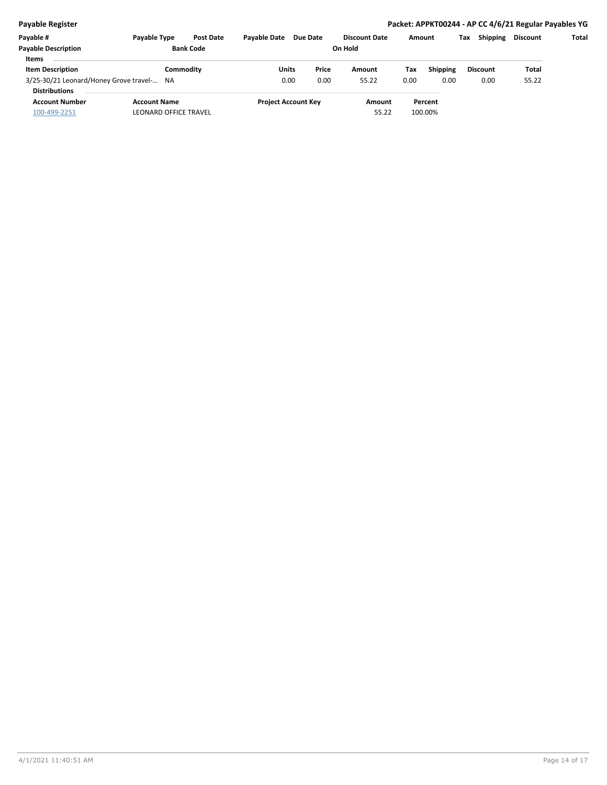#### **Payable Register Packet: APPKT00244 - AP CC 4/6/21 Regular Payables YG**

| Payable #                                 | <b>Payable Type</b>          | <b>Post Date</b> | <b>Pavable Date</b> | Due Date                   | <b>Discount Date</b> |      | Amount          | <b>Shipping</b><br>Tax | Discount | Total |
|-------------------------------------------|------------------------------|------------------|---------------------|----------------------------|----------------------|------|-----------------|------------------------|----------|-------|
| <b>Payable Description</b>                |                              | <b>Bank Code</b> |                     |                            | On Hold              |      |                 |                        |          |       |
| <b>Items</b>                              |                              |                  |                     |                            |                      |      |                 |                        |          |       |
| <b>Item Description</b>                   | Commoditv                    |                  | Units               | Price                      | Amount               | Tax  | <b>Shipping</b> | <b>Discount</b>        | Total    |       |
| 3/25-30/21 Leonard/Honey Grove travel- NA |                              |                  | 0.00                | 0.00                       | 55.22                | 0.00 | 0.00            | 0.00                   | 55.22    |       |
| <b>Distributions</b>                      |                              |                  |                     |                            |                      |      |                 |                        |          |       |
| <b>Account Number</b>                     | <b>Account Name</b>          |                  |                     | <b>Project Account Key</b> | Amount               |      | Percent         |                        |          |       |
| 100-499-2251                              | <b>LEONARD OFFICE TRAVEL</b> |                  |                     |                            | 55.22                |      | 100.00%         |                        |          |       |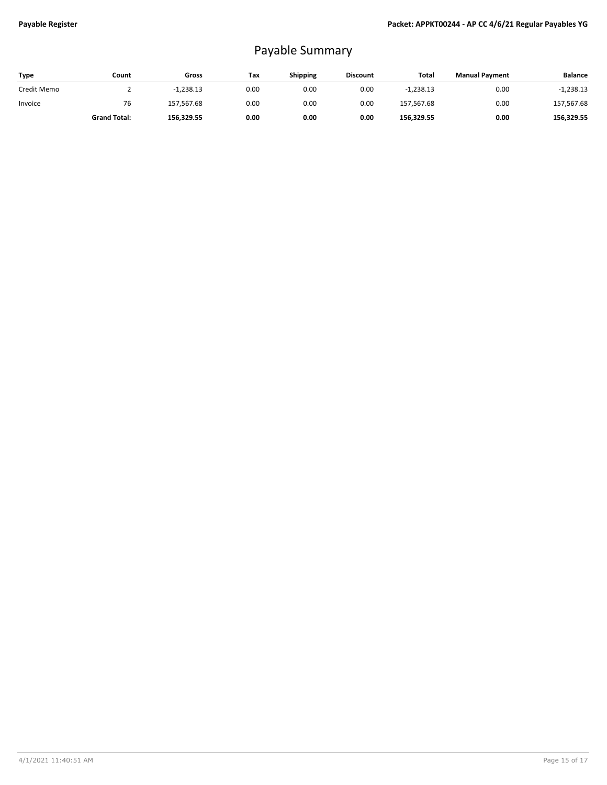# Payable Summary

| <b>Type</b> | Count               | Gross       | Tax  | Shipping | <b>Discount</b> | Total       | <b>Manual Payment</b> | <b>Balance</b> |
|-------------|---------------------|-------------|------|----------|-----------------|-------------|-----------------------|----------------|
| Credit Memo |                     | $-1,238.13$ | 0.00 | 0.00     | 0.00            | $-1.238.13$ | 0.00                  | $-1,238.13$    |
| Invoice     | 76                  | 157,567.68  | 0.00 | 0.00     | 0.00            | 157,567.68  | 0.00                  | 157,567.68     |
|             | <b>Grand Total:</b> | 156,329.55  | 0.00 | 0.00     | 0.00            | 156,329.55  | 0.00                  | 156,329.55     |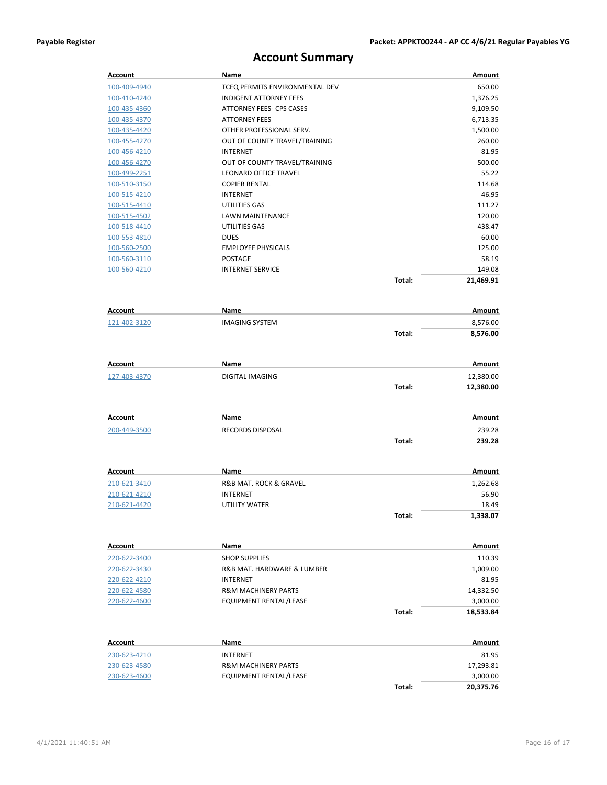## **Account Summary**

| <b>Account</b>      | Name                                               |        | Amount    |
|---------------------|----------------------------------------------------|--------|-----------|
| 100-409-4940        | TCEQ PERMITS ENVIRONMENTAL DEV                     |        | 650.00    |
| 100-410-4240        | <b>INDIGENT ATTORNEY FEES</b>                      |        | 1,376.25  |
| 100-435-4360        | ATTORNEY FEES- CPS CASES                           |        | 9,109.50  |
| 100-435-4370        | <b>ATTORNEY FEES</b>                               |        | 6,713.35  |
| 100-435-4420        | OTHER PROFESSIONAL SERV.                           |        | 1,500.00  |
| 100-455-4270        | OUT OF COUNTY TRAVEL/TRAINING                      |        | 260.00    |
| 100-456-4210        | <b>INTERNET</b>                                    |        | 81.95     |
| 100-456-4270        | OUT OF COUNTY TRAVEL/TRAINING                      |        | 500.00    |
| 100-499-2251        | <b>LEONARD OFFICE TRAVEL</b>                       |        | 55.22     |
| 100-510-3150        | <b>COPIER RENTAL</b>                               |        | 114.68    |
| 100-515-4210        | INTERNET                                           |        | 46.95     |
| 100-515-4410        | UTILITIES GAS                                      |        | 111.27    |
| 100-515-4502        | LAWN MAINTENANCE                                   |        | 120.00    |
| 100-518-4410        | UTILITIES GAS                                      |        | 438.47    |
| 100-553-4810        | <b>DUES</b>                                        |        | 60.00     |
| 100-560-2500        | <b>EMPLOYEE PHYSICALS</b>                          |        | 125.00    |
| <u>100-560-3110</u> | POSTAGE                                            |        | 58.19     |
| 100-560-4210        | <b>INTERNET SERVICE</b>                            |        | 149.08    |
|                     |                                                    | Total: | 21,469.91 |
|                     |                                                    |        |           |
| <b>Account</b>      | Name                                               |        | Amount    |
| 121-402-3120        | <b>IMAGING SYSTEM</b>                              |        | 8,576.00  |
|                     |                                                    | Total: | 8,576.00  |
|                     |                                                    |        |           |
| Account             | Name                                               |        | Amount    |
| 127-403-4370        | DIGITAL IMAGING                                    |        | 12,380.00 |
|                     |                                                    | Total: | 12,380.00 |
|                     |                                                    |        |           |
| <b>Account</b>      | Name                                               |        | Amount    |
|                     |                                                    |        |           |
| 200-449-3500        | RECORDS DISPOSAL                                   |        | 239.28    |
|                     |                                                    | Total: | 239.28    |
|                     |                                                    |        |           |
| Account             | Name                                               |        | Amount    |
| 210-621-3410        | R&B MAT. ROCK & GRAVEL                             |        | 1,262.68  |
| 210-621-4210        | <b>INTERNET</b>                                    |        | 56.90     |
| 210-621-4420        | UTILITY WATER                                      |        | 18.49     |
|                     |                                                    | Total: | 1,338.07  |
|                     |                                                    |        |           |
| Account             | Name                                               |        | Amount    |
| 220-622-3400        | <b>SHOP SUPPLIES</b><br>R&B MAT. HARDWARE & LUMBER |        | 110.39    |
| 220-622-3430        |                                                    |        | 1,009.00  |
| 220-622-4210        | <b>INTERNET</b>                                    |        | 81.95     |
| 220-622-4580        | R&M MACHINERY PARTS                                |        | 14,332.50 |
| 220-622-4600        | EQUIPMENT RENTAL/LEASE                             |        | 3,000.00  |
|                     |                                                    | Total: | 18,533.84 |
|                     |                                                    |        |           |
| Account             | Name                                               |        | Amount    |
| 230-623-4210        | INTERNET                                           |        | 81.95     |
| 230-623-4580        | R&M MACHINERY PARTS                                |        | 17,293.81 |
| 230-623-4600        | EQUIPMENT RENTAL/LEASE                             |        | 3,000.00  |
|                     |                                                    | Total: | 20,375.76 |